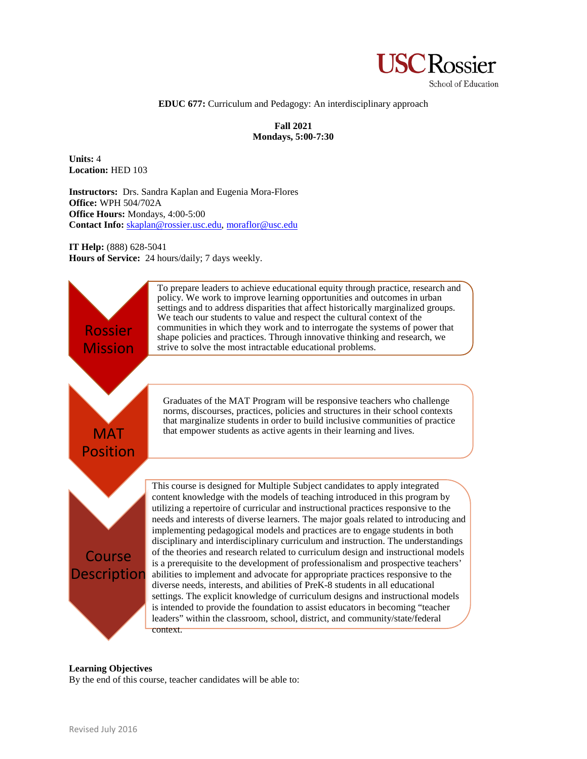

### **EDUC 677:** Curriculum and Pedagogy: An interdisciplinary approach

**Fall 2021 Mondays, 5:00-7:30**

**Units:** 4 **Location:** HED 103

**Instructors:** Drs. Sandra Kaplan and Eugenia Mora-Flores **Office:** WPH 504/702A **Office Hours:** Mondays, 4:00-5:00 **Contact Info:** [skaplan@rossier.usc.edu,](mailto:skaplan@rossier.usc.edu) [moraflor@usc.edu](mailto:moraflor@usc.edu)

**IT Help:** (888) 628-5041 **Hours of Service:** 24 hours/daily; 7 days weekly.



### **Learning Objectives**

By the end of this course, teacher candidates will be able to: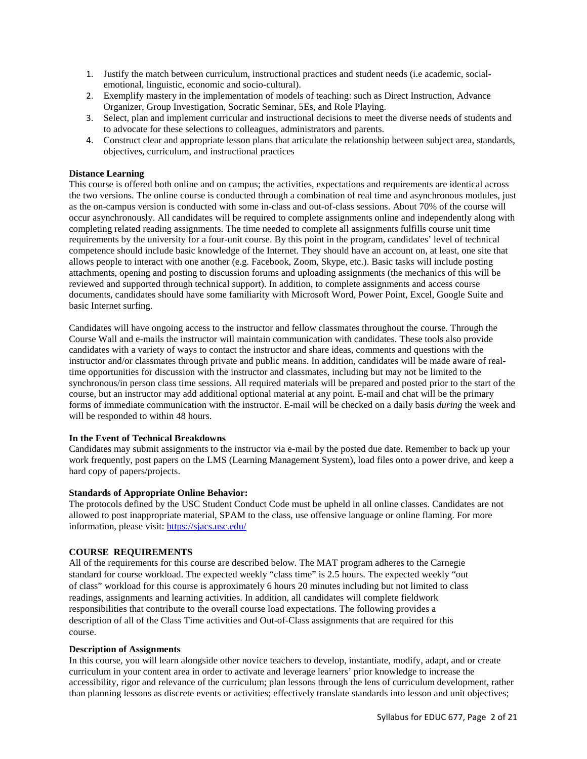- 1. Justify the match between curriculum, instructional practices and student needs (i.e academic, socialemotional, linguistic, economic and socio-cultural).
- 2. Exemplify mastery in the implementation of models of teaching: such as Direct Instruction, Advance Organizer, Group Investigation, Socratic Seminar, 5Es, and Role Playing.
- 3. Select, plan and implement curricular and instructional decisions to meet the diverse needs of students and to advocate for these selections to colleagues, administrators and parents.
- 4. Construct clear and appropriate lesson plans that articulate the relationship between subject area, standards, objectives, curriculum, and instructional practices

# **Distance Learning**

This course is offered both online and on campus; the activities, expectations and requirements are identical across the two versions. The online course is conducted through a combination of real time and asynchronous modules, just as the on-campus version is conducted with some in-class and out-of-class sessions. About 70% of the course will occur asynchronously. All candidates will be required to complete assignments online and independently along with completing related reading assignments. The time needed to complete all assignments fulfills course unit time requirements by the university for a four-unit course. By this point in the program, candidates' level of technical competence should include basic knowledge of the Internet. They should have an account on, at least, one site that allows people to interact with one another (e.g. Facebook, Zoom, Skype, etc.). Basic tasks will include posting attachments, opening and posting to discussion forums and uploading assignments (the mechanics of this will be reviewed and supported through technical support). In addition, to complete assignments and access course documents, candidates should have some familiarity with Microsoft Word, Power Point, Excel, Google Suite and basic Internet surfing.

Candidates will have ongoing access to the instructor and fellow classmates throughout the course. Through the Course Wall and e-mails the instructor will maintain communication with candidates. These tools also provide candidates with a variety of ways to contact the instructor and share ideas, comments and questions with the instructor and/or classmates through private and public means. In addition, candidates will be made aware of realtime opportunities for discussion with the instructor and classmates, including but may not be limited to the synchronous/in person class time sessions. All required materials will be prepared and posted prior to the start of the course, but an instructor may add additional optional material at any point. E-mail and chat will be the primary forms of immediate communication with the instructor. E-mail will be checked on a daily basis *during* the week and will be responded to within 48 hours.

### **In the Event of Technical Breakdowns**

Candidates may submit assignments to the instructor via e-mail by the posted due date. Remember to back up your work frequently, post papers on the LMS (Learning Management System), load files onto a power drive, and keep a hard copy of papers/projects.

#### **Standards of Appropriate Online Behavior:**

The protocols defined by the USC Student Conduct Code must be upheld in all online classes. Candidates are not allowed to post inappropriate material, SPAM to the class, use offensive language or online flaming. For more information, please visit:<https://sjacs.usc.edu/>

#### **COURSE REQUIREMENTS**

All of the requirements for this course are described below. The MAT program adheres to the Carnegie standard for course workload. The expected weekly "class time" is 2.5 hours. The expected weekly "out of class" workload for this course is approximately 6 hours 20 minutes including but not limited to class readings, assignments and learning activities. In addition, all candidates will complete fieldwork responsibilities that contribute to the overall course load expectations. The following provides a description of all of the Class Time activities and Out-of-Class assignments that are required for this course.

#### **Description of Assignments**

In this course, you will learn alongside other novice teachers to develop, instantiate, modify, adapt, and or create curriculum in your content area in order to activate and leverage learners' prior knowledge to increase the accessibility, rigor and relevance of the curriculum; plan lessons through the lens of curriculum development, rather than planning lessons as discrete events or activities; effectively translate standards into lesson and unit objectives;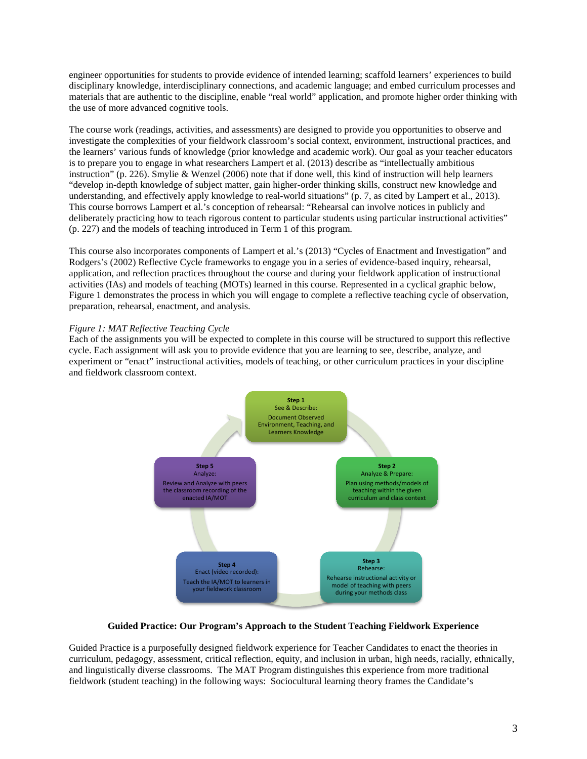engineer opportunities for students to provide evidence of intended learning; scaffold learners' experiences to build disciplinary knowledge, interdisciplinary connections, and academic language; and embed curriculum processes and materials that are authentic to the discipline, enable "real world" application, and promote higher order thinking with the use of more advanced cognitive tools.

The course work (readings, activities, and assessments) are designed to provide you opportunities to observe and investigate the complexities of your fieldwork classroom's social context, environment, instructional practices, and the learners' various funds of knowledge (prior knowledge and academic work). Our goal as your teacher educators is to prepare you to engage in what researchers Lampert et al. (2013) describe as "intellectually ambitious instruction" (p. 226). Smylie & Wenzel (2006) note that if done well, this kind of instruction will help learners "develop in-depth knowledge of subject matter, gain higher-order thinking skills, construct new knowledge and understanding, and effectively apply knowledge to real-world situations" (p. 7, as cited by Lampert et al., 2013). This course borrows Lampert et al.'s conception of rehearsal: "Rehearsal can involve notices in publicly and deliberately practicing how to teach rigorous content to particular students using particular instructional activities" (p. 227) and the models of teaching introduced in Term 1 of this program.

This course also incorporates components of Lampert et al.'s (2013) "Cycles of Enactment and Investigation" and Rodgers's (2002) Reflective Cycle frameworks to engage you in a series of evidence-based inquiry, rehearsal, application, and reflection practices throughout the course and during your fieldwork application of instructional activities (IAs) and models of teaching (MOTs) learned in this course. Represented in a cyclical graphic below, Figure 1 demonstrates the process in which you will engage to complete a reflective teaching cycle of observation, preparation, rehearsal, enactment, and analysis.

# *Figure 1: MAT Reflective Teaching Cycle*

Each of the assignments you will be expected to complete in this course will be structured to support this reflective cycle. Each assignment will ask you to provide evidence that you are learning to see, describe, analyze, and experiment or "enact" instructional activities, models of teaching, or other curriculum practices in your discipline and fieldwork classroom context.



### **Guided Practice: Our Program's Approach to the Student Teaching Fieldwork Experience**

Guided Practice is a purposefully designed fieldwork experience for Teacher Candidates to enact the theories in curriculum, pedagogy, assessment, critical reflection, equity, and inclusion in urban, high needs, racially, ethnically, and linguistically diverse classrooms. The MAT Program distinguishes this experience from more traditional fieldwork (student teaching) in the following ways: Sociocultural learning theory frames the Candidate's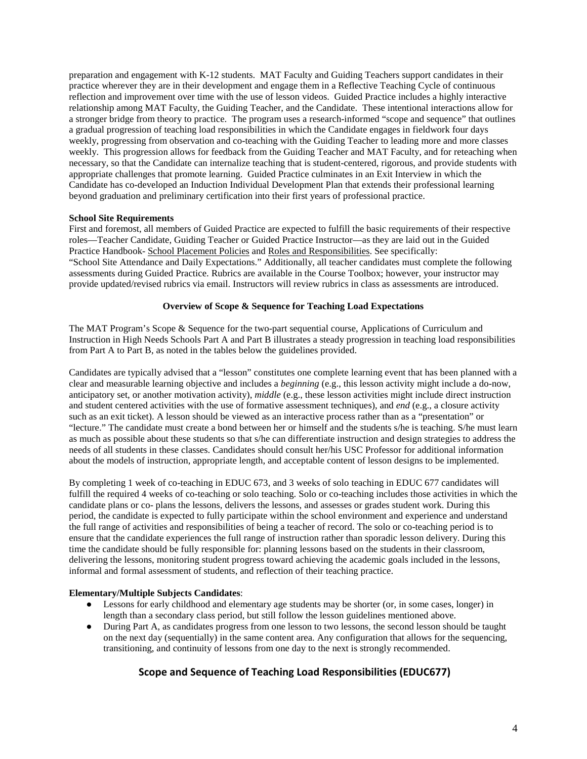preparation and engagement with K-12 students. MAT Faculty and Guiding Teachers support candidates in their practice wherever they are in their development and engage them in a Reflective Teaching Cycle of continuous reflection and improvement over time with the use of lesson videos. Guided Practice includes a highly interactive relationship among MAT Faculty, the Guiding Teacher, and the Candidate. These intentional interactions allow for a stronger bridge from theory to practice. The program uses a research-informed "scope and sequence" that outlines a gradual progression of teaching load responsibilities in which the Candidate engages in fieldwork four days weekly, progressing from observation and co-teaching with the Guiding Teacher to leading more and more classes weekly. This progression allows for feedback from the Guiding Teacher and MAT Faculty, and for reteaching when necessary, so that the Candidate can internalize teaching that is student-centered, rigorous, and provide students with appropriate challenges that promote learning. Guided Practice culminates in an Exit Interview in which the Candidate has co-developed an Induction Individual Development Plan that extends their professional learning beyond graduation and preliminary certification into their first years of professional practice.

### **School Site Requirements**

First and foremost, all members of Guided Practice are expected to fulfill the basic requirements of their respective roles—Teacher Candidate, Guiding Teacher or Guided Practice Instructor—as they are laid out in the Guided Practice Handbook- School Placement Policies and Roles and Responsibilities. See specifically: "School Site Attendance and Daily Expectations." Additionally, all teacher candidates must complete the following assessments during Guided Practice. Rubrics are available in the Course Toolbox; however, your instructor may provide updated/revised rubrics via email. Instructors will review rubrics in class as assessments are introduced.

### **Overview of Scope & Sequence for Teaching Load Expectations**

The MAT Program's Scope & Sequence for the two-part sequential course, Applications of Curriculum and Instruction in High Needs Schools Part A and Part B illustrates a steady progression in teaching load responsibilities from Part A to Part B, as noted in the tables below the guidelines provided.

Candidates are typically advised that a "lesson" constitutes one complete learning event that has been planned with a clear and measurable learning objective and includes a *beginning* (e.g., this lesson activity might include a do-now, anticipatory set, or another motivation activity), *middle* (e.g., these lesson activities might include direct instruction and student centered activities with the use of formative assessment techniques), and *end* (e.g., a closure activity such as an exit ticket). A lesson should be viewed as an interactive process rather than as a "presentation" or "lecture." The candidate must create a bond between her or himself and the students s/he is teaching. S/he must learn as much as possible about these students so that s/he can differentiate instruction and design strategies to address the needs of all students in these classes. Candidates should consult her/his USC Professor for additional information about the models of instruction, appropriate length, and acceptable content of lesson designs to be implemented.

By completing 1 week of co-teaching in EDUC 673, and 3 weeks of solo teaching in EDUC 677 candidates will fulfill the required 4 weeks of co-teaching or solo teaching. Solo or co-teaching includes those activities in which the candidate plans or co- plans the lessons, delivers the lessons, and assesses or grades student work. During this period, the candidate is expected to fully participate within the school environment and experience and understand the full range of activities and responsibilities of being a teacher of record. The solo or co-teaching period is to ensure that the candidate experiences the full range of instruction rather than sporadic lesson delivery. During this time the candidate should be fully responsible for: planning lessons based on the students in their classroom, delivering the lessons, monitoring student progress toward achieving the academic goals included in the lessons, informal and formal assessment of students, and reflection of their teaching practice.

# **Elementary/Multiple Subjects Candidates**:

- Lessons for early childhood and elementary age students may be shorter (or, in some cases, longer) in length than a secondary class period, but still follow the lesson guidelines mentioned above.
- During Part A, as candidates progress from one lesson to two lessons, the second lesson should be taught on the next day (sequentially) in the same content area. Any configuration that allows for the sequencing, transitioning, and continuity of lessons from one day to the next is strongly recommended.

# **Scope and Sequence of Teaching Load Responsibilities (EDUC677)**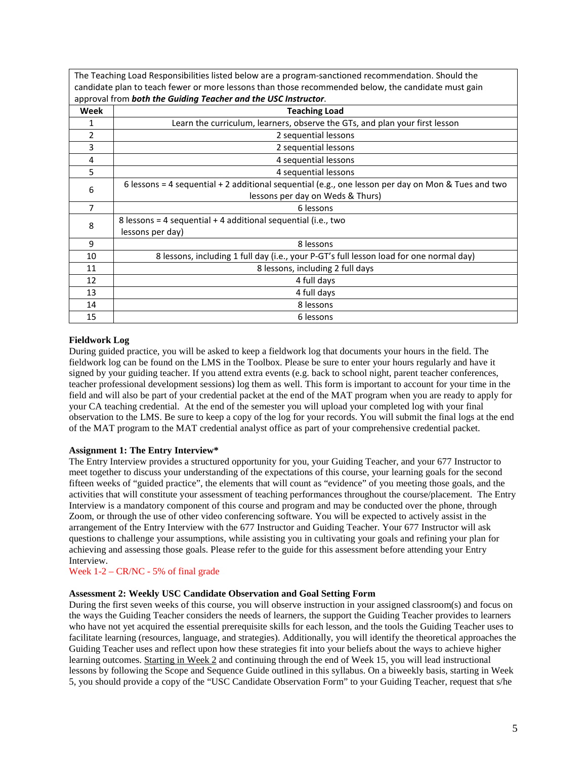The Teaching Load Responsibilities listed below are a program-sanctioned recommendation. Should the candidate plan to teach fewer or more lessons than those recommended below, the candidate must gain approval from *both the Guiding Teacher and the USC Instructor*.

| approval from both the Galanty Teacher and the OSC mstrattor. |                                                                                                    |  |  |
|---------------------------------------------------------------|----------------------------------------------------------------------------------------------------|--|--|
| Week                                                          | <b>Teaching Load</b>                                                                               |  |  |
|                                                               | Learn the curriculum, learners, observe the GTs, and plan your first lesson                        |  |  |
| 2                                                             | 2 sequential lessons                                                                               |  |  |
| 3                                                             | 2 sequential lessons                                                                               |  |  |
| 4                                                             | 4 sequential lessons                                                                               |  |  |
| 5                                                             | 4 sequential lessons                                                                               |  |  |
| 6                                                             | 6 lessons = 4 sequential + 2 additional sequential (e.g., one lesson per day on Mon & Tues and two |  |  |
|                                                               | lessons per day on Weds & Thurs)                                                                   |  |  |
| $\overline{7}$                                                | 6 lessons                                                                                          |  |  |
| 8                                                             | 8 lessons = 4 sequential + 4 additional sequential (i.e., two                                      |  |  |
|                                                               | lessons per day)                                                                                   |  |  |
| 9                                                             | 8 lessons                                                                                          |  |  |
| 10                                                            | 8 lessons, including 1 full day (i.e., your P-GT's full lesson load for one normal day)            |  |  |
| 11                                                            | 8 lessons, including 2 full days                                                                   |  |  |
| 12                                                            | 4 full days                                                                                        |  |  |
| 13                                                            | 4 full days                                                                                        |  |  |
| 14                                                            | 8 lessons                                                                                          |  |  |
| 15                                                            | 6 lessons                                                                                          |  |  |

# **Fieldwork Log**

During guided practice, you will be asked to keep a fieldwork log that documents your hours in the field. The fieldwork log can be found on the LMS in the Toolbox. Please be sure to enter your hours regularly and have it signed by your guiding teacher. If you attend extra events (e.g. back to school night, parent teacher conferences, teacher professional development sessions) log them as well. This form is important to account for your time in the field and will also be part of your credential packet at the end of the MAT program when you are ready to apply for your CA teaching credential. At the end of the semester you will upload your completed log with your final observation to the LMS. Be sure to keep a copy of the log for your records. You will submit the final logs at the end of the MAT program to the MAT credential analyst office as part of your comprehensive credential packet.

# **Assignment 1: The Entry Interview\***

The Entry Interview provides a structured opportunity for you, your Guiding Teacher, and your 677 Instructor to meet together to discuss your understanding of the expectations of this course, your learning goals for the second fifteen weeks of "guided practice", the elements that will count as "evidence" of you meeting those goals, and the activities that will constitute your assessment of teaching performances throughout the course/placement. The Entry Interview is a mandatory component of this course and program and may be conducted over the phone, through Zoom, or through the use of other video conferencing software. You will be expected to actively assist in the arrangement of the Entry Interview with the 677 Instructor and Guiding Teacher. Your 677 Instructor will ask questions to challenge your assumptions, while assisting you in cultivating your goals and refining your plan for achieving and assessing those goals. Please refer to the guide for this assessment before attending your Entry Interview.

# Week 1-2 – CR/NC - 5% of final grade

# **Assessment 2: Weekly USC Candidate Observation and Goal Setting Form**

During the first seven weeks of this course, you will observe instruction in your assigned classroom(s) and focus on the ways the Guiding Teacher considers the needs of learners, the support the Guiding Teacher provides to learners who have not yet acquired the essential prerequisite skills for each lesson, and the tools the Guiding Teacher uses to facilitate learning (resources, language, and strategies). Additionally, you will identify the theoretical approaches the Guiding Teacher uses and reflect upon how these strategies fit into your beliefs about the ways to achieve higher learning outcomes. Starting in Week 2 and continuing through the end of Week 15, you will lead instructional lessons by following the Scope and Sequence Guide outlined in this syllabus. On a biweekly basis, starting in Week 5, you should provide a copy of the "USC Candidate Observation Form" to your Guiding Teacher, request that s/he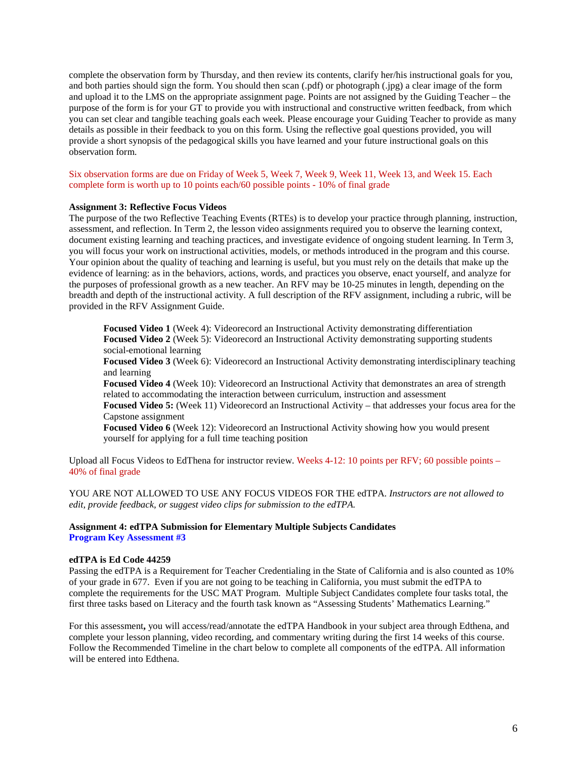complete the observation form by Thursday, and then review its contents, clarify her/his instructional goals for you, and both parties should sign the form. You should then scan (.pdf) or photograph (.jpg) a clear image of the form and upload it to the LMS on the appropriate assignment page. Points are not assigned by the Guiding Teacher – the purpose of the form is for your GT to provide you with instructional and constructive written feedback, from which you can set clear and tangible teaching goals each week. Please encourage your Guiding Teacher to provide as many details as possible in their feedback to you on this form. Using the reflective goal questions provided, you will provide a short synopsis of the pedagogical skills you have learned and your future instructional goals on this observation form.

Six observation forms are due on Friday of Week 5, Week 7, Week 9, Week 11, Week 13, and Week 15. Each complete form is worth up to 10 points each/60 possible points - 10% of final grade

#### **Assignment 3: Reflective Focus Videos**

The purpose of the two Reflective Teaching Events (RTEs) is to develop your practice through planning, instruction, assessment, and reflection. In Term 2, the lesson video assignments required you to observe the learning context, document existing learning and teaching practices, and investigate evidence of ongoing student learning. In Term 3, you will focus your work on instructional activities, models, or methods introduced in the program and this course. Your opinion about the quality of teaching and learning is useful, but you must rely on the details that make up the evidence of learning: as in the behaviors, actions, words, and practices you observe, enact yourself, and analyze for the purposes of professional growth as a new teacher. An RFV may be 10-25 minutes in length, depending on the breadth and depth of the instructional activity. A full description of the RFV assignment, including a rubric, will be provided in the RFV Assignment Guide.

**Focused Video 1** (Week 4): Videorecord an Instructional Activity demonstrating differentiation **Focused Video 2** (Week 5): Videorecord an Instructional Activity demonstrating supporting students social-emotional learning

**Focused Video 3** (Week 6): Videorecord an Instructional Activity demonstrating interdisciplinary teaching and learning

**Focused Video 4** (Week 10): Videorecord an Instructional Activity that demonstrates an area of strength related to accommodating the interaction between curriculum, instruction and assessment

**Focused Video 5:** (Week 11) Videorecord an Instructional Activity – that addresses your focus area for the Capstone assignment

**Focused Video 6** (Week 12): Videorecord an Instructional Activity showing how you would present yourself for applying for a full time teaching position

Upload all Focus Videos to EdThena for instructor review. Weeks 4-12: 10 points per RFV; 60 possible points – 40% of final grade

YOU ARE NOT ALLOWED TO USE ANY FOCUS VIDEOS FOR THE edTPA. *Instructors are not allowed to edit, provide feedback, or suggest video clips for submission to the edTPA.*

# **Assignment 4: edTPA Submission for Elementary Multiple Subjects Candidates Program Key Assessment #3**

### **edTPA is Ed Code 44259**

Passing the edTPA is a Requirement for Teacher Credentialing in the State of California and is also counted as 10% of your grade in 677. Even if you are not going to be teaching in California, you must submit the edTPA to complete the requirements for the USC MAT Program. Multiple Subject Candidates complete four tasks total, the first three tasks based on Literacy and the fourth task known as "Assessing Students' Mathematics Learning."

For this assessment**,** you will access/read/annotate the edTPA Handbook in your subject area through Edthena, and complete your lesson planning, video recording, and commentary writing during the first 14 weeks of this course. Follow the Recommended Timeline in the chart below to complete all components of the edTPA. All information will be entered into Edthena.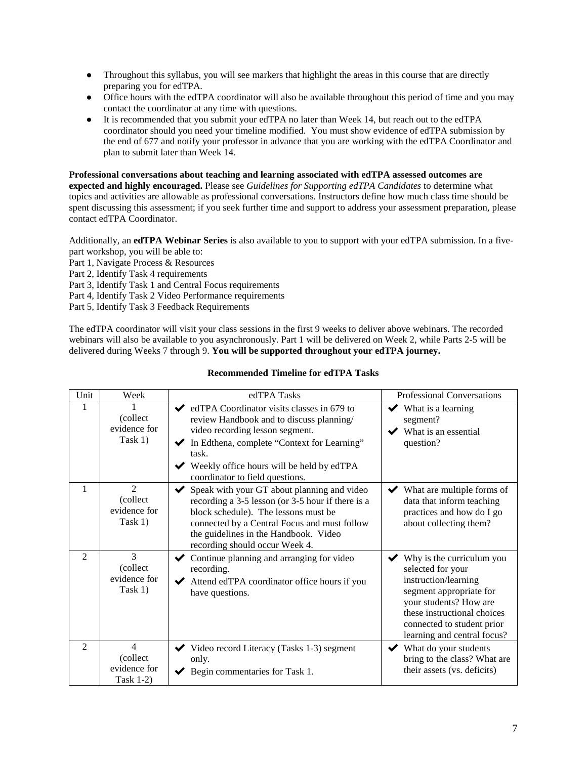- Throughout this syllabus, you will see markers that highlight the areas in this course that are directly preparing you for edTPA.
- Office hours with the edTPA coordinator will also be available throughout this period of time and you may contact the coordinator at any time with questions.
- It is recommended that you submit your edTPA no later than Week 14, but reach out to the edTPA coordinator should you need your timeline modified. You must show evidence of edTPA submission by the end of 677 and notify your professor in advance that you are working with the edTPA Coordinator and plan to submit later than Week 14.

# **Professional conversations about teaching and learning associated with edTPA assessed outcomes are**

**expected and highly encouraged.** Please see *Guidelines for Supporting edTPA Candidates* to determine what topics and activities are allowable as professional conversations. Instructors define how much class time should be spent discussing this assessment; if you seek further time and support to address your assessment preparation, please contact edTPA Coordinator.

Additionally, an **edTPA Webinar Series** is also available to you to support with your edTPA submission. In a five-

- part workshop, you will be able to:
- Part 1, Navigate Process & Resources
- Part 2, Identify Task 4 requirements
- Part 3, Identify Task 1 and Central Focus requirements
- Part 4, Identify Task 2 Video Performance requirements
- Part 5, Identify Task 3 Feedback Requirements

The edTPA coordinator will visit your class sessions in the first 9 weeks to deliver above webinars. The recorded webinars will also be available to you asynchronously. Part 1 will be delivered on Week 2, while Parts 2-5 will be delivered during Weeks 7 through 9. **You will be supported throughout your edTPA journey.**

| Unit           | Week                                                    | edTPA Tasks                                                                                                                                                                                                                                                                                    | <b>Professional Conversations</b>                                                                                                                                                                                                             |
|----------------|---------------------------------------------------------|------------------------------------------------------------------------------------------------------------------------------------------------------------------------------------------------------------------------------------------------------------------------------------------------|-----------------------------------------------------------------------------------------------------------------------------------------------------------------------------------------------------------------------------------------------|
| 1              | (collect)<br>evidence for<br>Task 1)                    | $\blacktriangleright$ edTPA Coordinator visits classes in 679 to<br>review Handbook and to discuss planning/<br>video recording lesson segment.<br>In Edthena, complete "Context for Learning"<br>✔<br>task.<br>◆ Weekly office hours will be held by edTPA<br>coordinator to field questions. | $\blacktriangleright$ What is a learning<br>segment?<br>What is an essential<br>$\checkmark$<br>question?                                                                                                                                     |
| $\mathbf{1}$   | $\overline{2}$<br>(collect<br>evidence for<br>Task 1)   | Speak with your GT about planning and video<br>$\checkmark$<br>recording a 3-5 lesson (or 3-5 hour if there is a<br>block schedule). The lessons must be<br>connected by a Central Focus and must follow<br>the guidelines in the Handbook. Video<br>recording should occur Week 4.            | $\blacktriangleright$ What are multiple forms of<br>data that inform teaching<br>practices and how do I go<br>about collecting them?                                                                                                          |
| $\overline{2}$ | 3<br>(collect<br>evidence for<br>Task 1)                | Continue planning and arranging for video<br>$\checkmark$<br>recording.<br>Attend edTPA coordinator office hours if you<br>✔<br>have questions.                                                                                                                                                | $\blacktriangleright$ Why is the curriculum you<br>selected for your<br>instruction/learning<br>segment appropriate for<br>your students? How are<br>these instructional choices<br>connected to student prior<br>learning and central focus? |
| 2              | $\overline{4}$<br>(collect<br>evidence for<br>Task 1-2) | $\blacktriangleright$ Video record Literacy (Tasks 1-3) segment<br>only.<br>Begin commentaries for Task 1.                                                                                                                                                                                     | $\blacktriangleright$ What do your students<br>bring to the class? What are<br>their assets (vs. deficits)                                                                                                                                    |

### **Recommended Timeline for edTPA Tasks**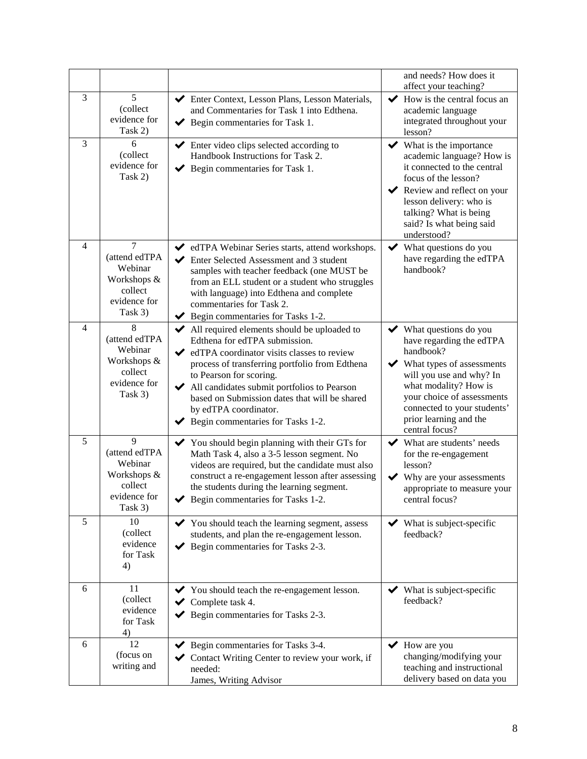|                |                                                                                                 |                                                                                                                                                                                                                                                                                                                                                                                                                   | and needs? How does it<br>affect your teaching?                                                                                                                                                                                                                                 |
|----------------|-------------------------------------------------------------------------------------------------|-------------------------------------------------------------------------------------------------------------------------------------------------------------------------------------------------------------------------------------------------------------------------------------------------------------------------------------------------------------------------------------------------------------------|---------------------------------------------------------------------------------------------------------------------------------------------------------------------------------------------------------------------------------------------------------------------------------|
| 3              | 5<br>(collect<br>evidence for<br>Task 2)                                                        | Enter Context, Lesson Plans, Lesson Materials,<br>and Commentaries for Task 1 into Edthena.<br>$\blacktriangleright$ Begin commentaries for Task 1.                                                                                                                                                                                                                                                               | $\blacktriangleright$ How is the central focus an<br>academic language<br>integrated throughout your<br>lesson?                                                                                                                                                                 |
| 3              | 6<br>(collect<br>evidence for<br>Task 2)                                                        | $\blacktriangleright$ Enter video clips selected according to<br>Handbook Instructions for Task 2.<br>$\blacktriangleright$ Begin commentaries for Task 1.                                                                                                                                                                                                                                                        | $\blacktriangleright$ What is the importance<br>academic language? How is<br>it connected to the central<br>focus of the lesson?<br>Review and reflect on your<br>$\checkmark$<br>lesson delivery: who is<br>talking? What is being<br>said? Is what being said<br>understood?  |
| $\overline{4}$ | $\overline{7}$<br>(attend edTPA<br>Webinar<br>Workshops &<br>collect<br>evidence for<br>Task 3) | ◆ edTPA Webinar Series starts, attend workshops.<br>Enter Selected Assessment and 3 student<br>✔<br>samples with teacher feedback (one MUST be<br>from an ELL student or a student who struggles<br>with language) into Edthena and complete<br>commentaries for Task 2.<br>Begin commentaries for Tasks 1-2.<br>✔                                                                                                | What questions do you<br>✔<br>have regarding the edTPA<br>handbook?                                                                                                                                                                                                             |
| 4              | 8<br>(attend edTPA<br>Webinar<br>Workshops &<br>collect<br>evidence for<br>Task 3)              | All required elements should be uploaded to<br>Edthena for edTPA submission.<br>$\blacktriangleright$ edTPA coordinator visits classes to review<br>process of transferring portfolio from Edthena<br>to Pearson for scoring.<br>All candidates submit portfolios to Pearson<br>based on Submission dates that will be shared<br>by edTPA coordinator.<br>$\blacktriangleright$ Begin commentaries for Tasks 1-2. | $\blacktriangleright$ What questions do you<br>have regarding the edTPA<br>handbook?<br>What types of assessments<br>will you use and why? In<br>what modality? How is<br>your choice of assessments<br>connected to your students'<br>prior learning and the<br>central focus? |
| 5              | 9<br>(attend edTPA<br>Webinar<br>Workshops &<br>collect<br>evidence for<br>Task 3)              | You should begin planning with their GTs for<br>✔<br>Math Task 4, also a 3-5 lesson segment. No<br>videos are required, but the candidate must also<br>construct a re-engagement lesson after assessing<br>the students during the learning segment.<br>Begin commentaries for Tasks 1-2.                                                                                                                         | What are students' needs<br>$\checkmark$<br>for the re-engagement<br>lesson?<br>Why are your assessments<br>✔<br>appropriate to measure your<br>central focus?                                                                                                                  |
| 5              | 10<br>(collect<br>evidence<br>for Task<br>4)                                                    | $\blacktriangleright$ You should teach the learning segment, assess<br>students, and plan the re-engagement lesson.<br>$\blacktriangleright$ Begin commentaries for Tasks 2-3.                                                                                                                                                                                                                                    | What is subject-specific<br>feedback?                                                                                                                                                                                                                                           |
| 6              | 11<br>(collect<br>evidence<br>for Task<br>4)                                                    | ◆ You should teach the re-engagement lesson.<br>$\blacktriangleright$ Complete task 4.<br>$\blacktriangleright$ Begin commentaries for Tasks 2-3.                                                                                                                                                                                                                                                                 | $\blacktriangleright$ What is subject-specific<br>feedback?                                                                                                                                                                                                                     |
| 6              | 12<br>(focus on<br>writing and                                                                  | $\blacktriangleright$ Begin commentaries for Tasks 3-4.<br>Contact Writing Center to review your work, if<br>✔<br>needed:<br>James, Writing Advisor                                                                                                                                                                                                                                                               | $\blacktriangleright$ How are you<br>changing/modifying your<br>teaching and instructional<br>delivery based on data you                                                                                                                                                        |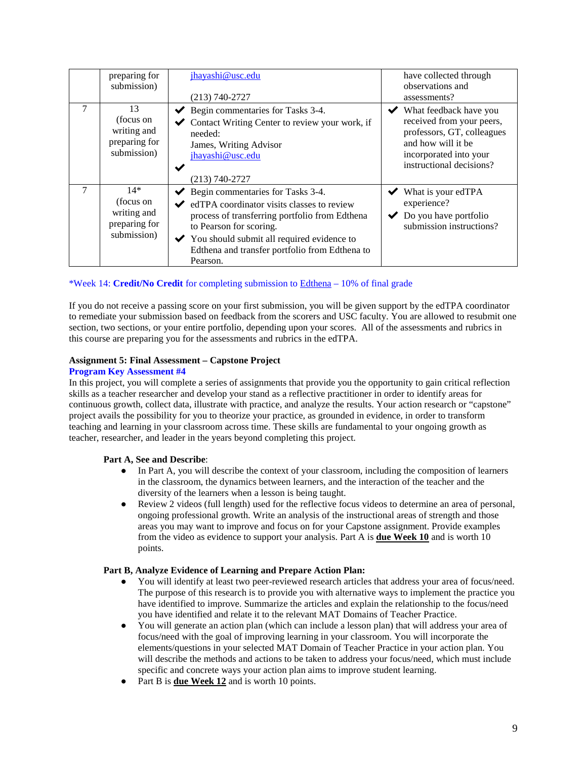|                | preparing for<br>submission)                                      | jhayashi@usc.edu<br>$(213) 740 - 2727$                                                                                                                                                                                                                                                                      | have collected through<br>observations and<br>assessments?                                                                                                                          |
|----------------|-------------------------------------------------------------------|-------------------------------------------------------------------------------------------------------------------------------------------------------------------------------------------------------------------------------------------------------------------------------------------------------------|-------------------------------------------------------------------------------------------------------------------------------------------------------------------------------------|
| $\overline{7}$ | 13<br>(focus on<br>writing and<br>preparing for<br>submission)    | $\blacktriangleright$ Begin commentaries for Tasks 3-4.<br>Contact Writing Center to review your work, if<br>needed:<br>James, Writing Advisor<br>jhayashi@usc.edu<br>(213) 740-2727                                                                                                                        | $\blacktriangleright$ What feedback have you<br>received from your peers,<br>professors, GT, colleagues<br>and how will it be<br>incorporated into your<br>instructional decisions? |
| 7              | $14*$<br>(focus on<br>writing and<br>preparing for<br>submission) | $\blacktriangleright$ Begin commentaries for Tasks 3-4.<br>edTPA coordinator visits classes to review<br>process of transferring portfolio from Edthena<br>to Pearson for scoring.<br>$\checkmark$ You should submit all required evidence to<br>Edthena and transfer portfolio from Edthena to<br>Pearson. | $\blacktriangleright$ What is your edTPA<br>experience?<br>$\triangleright$ Do you have portfolio<br>submission instructions?                                                       |

# \*Week 14: **Credit/No Credit** for completing submission to [Edthena](https://www.edthena.com/) – 10% of final grade

If you do not receive a passing score on your first submission, you will be given support by the edTPA coordinator to remediate your submission based on feedback from the scorers and USC faculty. You are allowed to resubmit one section, two sections, or your entire portfolio, depending upon your scores. All of the assessments and rubrics in this course are preparing you for the assessments and rubrics in the edTPA.

### **Assignment 5: Final Assessment – Capstone Project**

#### **Program Key Assessment #4**

In this project, you will complete a series of assignments that provide you the opportunity to gain critical reflection skills as a teacher researcher and develop your stand as a reflective practitioner in order to identify areas for continuous growth, collect data, illustrate with practice, and analyze the results. Your action research or "capstone" project avails the possibility for you to theorize your practice, as grounded in evidence, in order to transform teaching and learning in your classroom across time. These skills are fundamental to your ongoing growth as teacher, researcher, and leader in the years beyond completing this project.

#### **Part A, See and Describe**:

- In Part A, you will describe the context of your classroom, including the composition of learners in the classroom, the dynamics between learners, and the interaction of the teacher and the diversity of the learners when a lesson is being taught.
- Review 2 videos (full length) used for the reflective focus videos to determine an area of personal, ongoing professional growth. Write an analysis of the instructional areas of strength and those areas you may want to improve and focus on for your Capstone assignment. Provide examples from the video as evidence to support your analysis. Part A is **due Week 10** and is worth 10 points.

#### **Part B, Analyze Evidence of Learning and Prepare Action Plan:**

- You will identify at least two peer-reviewed research articles that address your area of focus/need. The purpose of this research is to provide you with alternative ways to implement the practice you have identified to improve. Summarize the articles and explain the relationship to the focus/need you have identified and relate it to the relevant MAT Domains of Teacher Practice.
- You will generate an action plan (which can include a lesson plan) that will address your area of focus/need with the goal of improving learning in your classroom. You will incorporate the elements/questions in your selected MAT Domain of Teacher Practice in your action plan. You will describe the methods and actions to be taken to address your focus/need, which must include specific and concrete ways your action plan aims to improve student learning.
- Part B is **due Week 12** and is worth 10 points.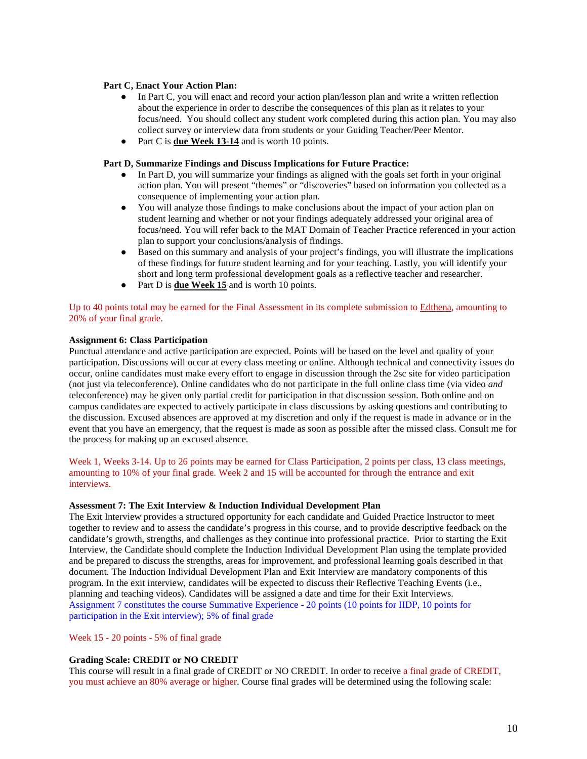#### **Part C, Enact Your Action Plan:**

- In Part C, you will enact and record your action plan/lesson plan and write a written reflection about the experience in order to describe the consequences of this plan as it relates to your focus/need. You should collect any student work completed during this action plan. You may also collect survey or interview data from students or your Guiding Teacher/Peer Mentor.
- Part C is **due Week 13-14** and is worth 10 points.

#### **Part D, Summarize Findings and Discuss Implications for Future Practice:**

- In Part D, you will summarize your findings as aligned with the goals set forth in your original action plan. You will present "themes" or "discoveries" based on information you collected as a consequence of implementing your action plan.
- You will analyze those findings to make conclusions about the impact of your action plan on student learning and whether or not your findings adequately addressed your original area of focus/need. You will refer back to the MAT Domain of Teacher Practice referenced in your action plan to support your conclusions/analysis of findings.
- Based on this summary and analysis of your project's findings, you will illustrate the implications of these findings for future student learning and for your teaching. Lastly, you will identify your short and long term professional development goals as a reflective teacher and researcher.
- Part D is **due Week 15** and is worth 10 points.

Up to 40 points total may be earned for the Final Assessment in its complete submission to [Edthena,](https://www.edthena.com/) amounting to 20% of your final grade.

#### **Assignment 6: Class Participation**

Punctual attendance and active participation are expected. Points will be based on the level and quality of your participation. Discussions will occur at every class meeting or online. Although technical and connectivity issues do occur, online candidates must make every effort to engage in discussion through the 2sc site for video participation (not just via teleconference). Online candidates who do not participate in the full online class time (via video *and* teleconference) may be given only partial credit for participation in that discussion session. Both online and on campus candidates are expected to actively participate in class discussions by asking questions and contributing to the discussion. Excused absences are approved at my discretion and only if the request is made in advance or in the event that you have an emergency, that the request is made as soon as possible after the missed class. Consult me for the process for making up an excused absence.

Week 1, Weeks 3-14. Up to 26 points may be earned for Class Participation, 2 points per class, 13 class meetings, amounting to 10% of your final grade. Week 2 and 15 will be accounted for through the entrance and exit interviews.

### **Assessment 7: The Exit Interview & Induction Individual Development Plan**

The Exit Interview provides a structured opportunity for each candidate and Guided Practice Instructor to meet together to review and to assess the candidate's progress in this course, and to provide descriptive feedback on the candidate's growth, strengths, and challenges as they continue into professional practice. Prior to starting the Exit Interview, the Candidate should complete the Induction Individual Development Plan using the template provided and be prepared to discuss the strengths, areas for improvement, and professional learning goals described in that document. The Induction Individual Development Plan and Exit Interview are mandatory components of this program. In the exit interview, candidates will be expected to discuss their Reflective Teaching Events (i.e., planning and teaching videos). Candidates will be assigned a date and time for their Exit Interviews. Assignment 7 constitutes the course Summative Experience - 20 points (10 points for IIDP, 10 points for participation in the Exit interview); 5% of final grade

Week 15 - 20 points - 5% of final grade

#### **Grading Scale: CREDIT or NO CREDIT**

This course will result in a final grade of CREDIT or NO CREDIT. In order to receive a final grade of CREDIT, you must achieve an 80% average or higher. Course final grades will be determined using the following scale: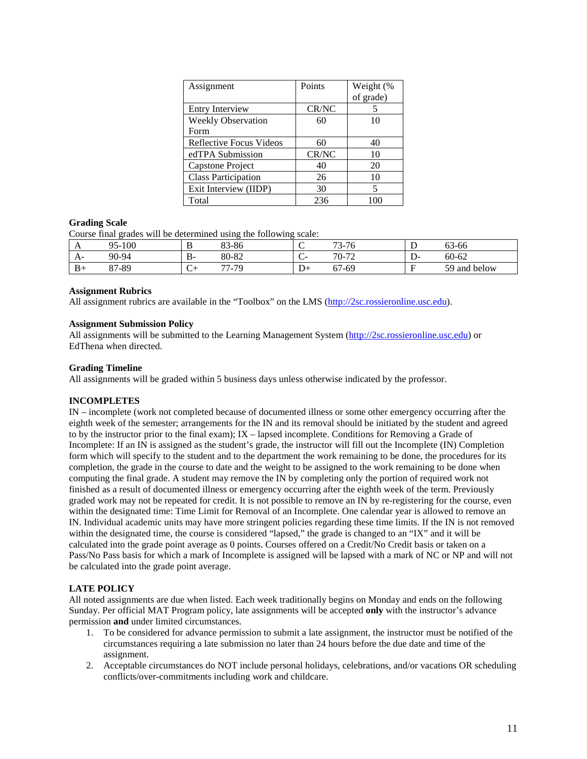| Assignment                 | Points | Weight (% |
|----------------------------|--------|-----------|
|                            |        | of grade) |
| <b>Entry Interview</b>     | CR/NC  |           |
| <b>Weekly Observation</b>  | 60     | 10        |
| Form                       |        |           |
| Reflective Focus Videos    | 60     | 40        |
| edTPA Submission           | CR/NC  | 10        |
| Capstone Project           | 40     | 20        |
| <b>Class Participation</b> | 26     | 10        |
| Exit Interview (IIDP)      | 30     | 5         |
| Total                      | 236    |           |

### **Grading Scale**

Course final grades will be determined using the following scale:

| . .  | 100<br>∩<<br>$\sim$ | D<br>D      | $\circ$<br>$Q \subset$<br><u>וט-ר</u> | $\sim$ | $\pi$ $\pi$<br>$5 - 10$         | <b>.</b> | $\sim$<br>3-66<br>ບຸ |
|------|---------------------|-------------|---------------------------------------|--------|---------------------------------|----------|----------------------|
| $A-$ | 90-94               | В-          | $\circ$<br>$\Omega$<br>80-82          | $\sim$ | 70-72                           | .        | $60 - 62$            |
| $B+$ | /-89<br>07          | $\sim$<br>◡ | $\overline{\phantom{a}}$<br>-79<br>.  | ⊥ ⊣    | $\overline{\phantom{0}}$<br>-69 | ÷        | 59<br>below<br>and   |

### **Assignment Rubrics**

All assignment rubrics are available in the "Toolbox" on the LMS [\(http://2sc.rossieronline.usc.edu\)](http://2sc.rossieronline.usc.edu/).

### **Assignment Submission Policy**

All assignments will be submitted to the Learning Management System [\(http://2sc.rossieronline.usc.edu\)](http://2sc.rossieronline.usc.edu/) or EdThena when directed.

### **Grading Timeline**

All assignments will be graded within 5 business days unless otherwise indicated by the professor.

# **INCOMPLETES**

IN – incomplete (work not completed because of documented illness or some other emergency occurring after the eighth week of the semester; arrangements for the IN and its removal should be initiated by the student and agreed to by the instructor prior to the final exam); IX – lapsed incomplete. Conditions for Removing a Grade of Incomplete: If an IN is assigned as the student's grade, the instructor will fill out the Incomplete (IN) Completion form which will specify to the student and to the department the work remaining to be done, the procedures for its completion, the grade in the course to date and the weight to be assigned to the work remaining to be done when computing the final grade. A student may remove the IN by completing only the portion of required work not finished as a result of documented illness or emergency occurring after the eighth week of the term. Previously graded work may not be repeated for credit. It is not possible to remove an IN by re-registering for the course, even within the designated time: Time Limit for Removal of an Incomplete. One calendar year is allowed to remove an IN. Individual academic units may have more stringent policies regarding these time limits. If the IN is not removed within the designated time, the course is considered "lapsed," the grade is changed to an "IX" and it will be calculated into the grade point average as 0 points. Courses offered on a Credit/No Credit basis or taken on a Pass/No Pass basis for which a mark of Incomplete is assigned will be lapsed with a mark of NC or NP and will not be calculated into the grade point average.

# **LATE POLICY**

All noted assignments are due when listed. Each week traditionally begins on Monday and ends on the following Sunday. Per official MAT Program policy, late assignments will be accepted **only** with the instructor's advance permission **and** under limited circumstances.

- 1. To be considered for advance permission to submit a late assignment, the instructor must be notified of the circumstances requiring a late submission no later than 24 hours before the due date and time of the assignment.
- 2. Acceptable circumstances do NOT include personal holidays, celebrations, and/or vacations OR scheduling conflicts/over-commitments including work and childcare.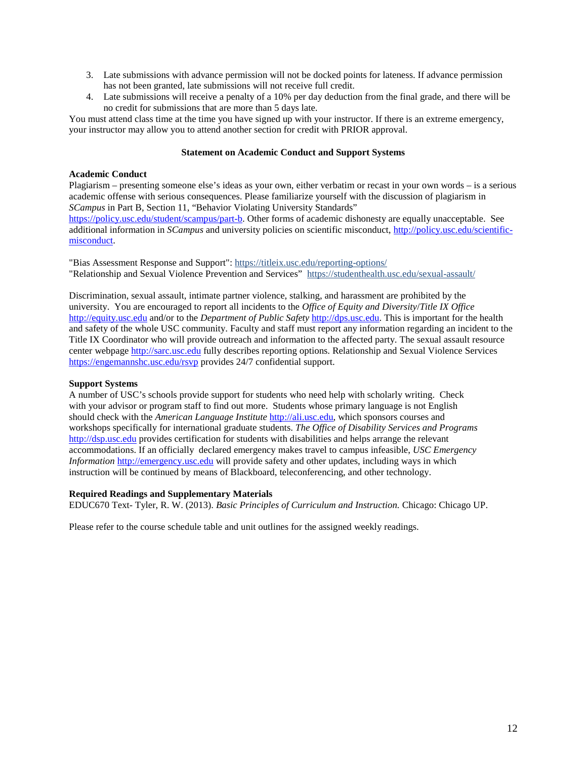- 3. Late submissions with advance permission will not be docked points for lateness. If advance permission has not been granted, late submissions will not receive full credit.
- 4. Late submissions will receive a penalty of a 10% per day deduction from the final grade, and there will be no credit for submissions that are more than 5 days late.

You must attend class time at the time you have signed up with your instructor. If there is an extreme emergency, your instructor may allow you to attend another section for credit with PRIOR approval.

# **Statement on Academic Conduct and Support Systems**

# **Academic Conduct**

Plagiarism – presenting someone else's ideas as your own, either verbatim or recast in your own words – is a serious academic offense with serious consequences. Please familiarize yourself with the discussion of plagiarism in *SCampus* in Part B, Section 11, "Behavior Violating University Standards"

[https://policy.usc.edu/student/scampus/part-b.](https://policy.usc.edu/student/scampus/part-b/) Other forms of academic dishonesty are equally unacceptable. See additional information in *SCampus* and university policies on scientific misconduct, [http://policy.usc.edu/scientific](http://policy.usc.edu/scientific-misconduct/)[misconduct.](http://policy.usc.edu/scientific-misconduct/)

"Bias Assessment Response and Support": <https://titleix.usc.edu/reporting-options/> "Relationship and Sexual Violence Prevention and Services" <https://studenthealth.usc.edu/sexual-assault/>

Discrimination, sexual assault, intimate partner violence, stalking, and harassment are prohibited by the university. You are encouraged to report all incidents to the *Office of Equity and Diversity*/*Title IX Office* [http://equity.usc.edu](http://equity.usc.edu/) and/or to the *Department of Public Safety* [http://dps.usc.edu.](http://dps.usc.edu/) This is important for the health and safety of the whole USC community. Faculty and staff must report any information regarding an incident to the Title IX Coordinator who will provide outreach and information to the affected party. The sexual assault resource center webpage [http://sarc.usc.edu](http://sarc.usc.edu/) fully describes reporting options. Relationship and Sexual Violence Services <https://engemannshc.usc.edu/rsvp> provides 24/7 confidential support.

# **Support Systems**

A number of USC's schools provide support for students who need help with scholarly writing. Check with your advisor or program staff to find out more. Students whose primary language is not English should check with the *American Language Institute* [http://ali.usc.edu,](http://ali.usc.edu/) which sponsors courses and workshops specifically for international graduate students. *The Office of Disability Services and Programs*  [http://dsp.usc.edu](http://dsp.usc.edu/) provides certification for students with disabilities and helps arrange the relevant accommodations. If an officially declared emergency makes travel to campus infeasible, *USC Emergency Information* [http://emergency.usc.edu](http://emergency.usc.edu/) will provide safety and other updates, including ways in which instruction will be continued by means of Blackboard, teleconferencing, and other technology.

#### **Required Readings and Supplementary Materials**

EDUC670 Text- Tyler, R. W. (2013). *Basic Principles of Curriculum and Instruction.* Chicago: Chicago UP.

Please refer to the course schedule table and unit outlines for the assigned weekly readings.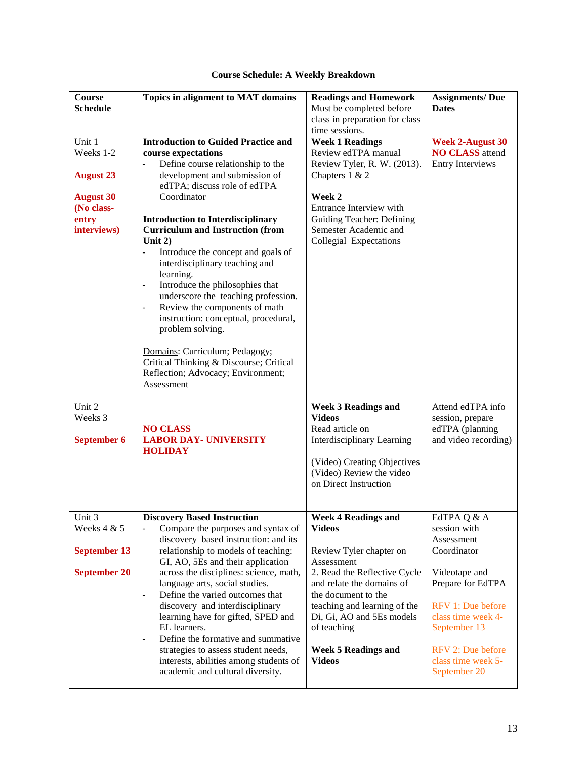| Course<br><b>Schedule</b>                                                                         | Topics in alignment to MAT domains                                                                                                                                                                                                                                                                                                                                                                                                                                                                                                                                                                                                                                                                                                                      | <b>Readings and Homework</b><br>Must be completed before<br>class in preparation for class<br>time sessions.                                                                                                                                                                                        | <b>Assignments/Due</b><br><b>Dates</b>                                                                                                                                                                               |
|---------------------------------------------------------------------------------------------------|---------------------------------------------------------------------------------------------------------------------------------------------------------------------------------------------------------------------------------------------------------------------------------------------------------------------------------------------------------------------------------------------------------------------------------------------------------------------------------------------------------------------------------------------------------------------------------------------------------------------------------------------------------------------------------------------------------------------------------------------------------|-----------------------------------------------------------------------------------------------------------------------------------------------------------------------------------------------------------------------------------------------------------------------------------------------------|----------------------------------------------------------------------------------------------------------------------------------------------------------------------------------------------------------------------|
| Unit 1<br>Weeks 1-2<br><b>August 23</b><br><b>August 30</b><br>(No class-<br>entry<br>interviews) | <b>Introduction to Guided Practice and</b><br>course expectations<br>Define course relationship to the<br>development and submission of<br>edTPA; discuss role of edTPA<br>Coordinator<br><b>Introduction to Interdisciplinary</b><br><b>Curriculum and Instruction (from</b><br>Unit $2)$<br>Introduce the concept and goals of<br>$\overline{\phantom{m}}$<br>interdisciplinary teaching and<br>learning.<br>Introduce the philosophies that<br>$\blacksquare$<br>underscore the teaching profession.<br>Review the components of math<br>$\blacksquare$<br>instruction: conceptual, procedural,<br>problem solving.<br>Domains: Curriculum; Pedagogy;<br>Critical Thinking & Discourse; Critical<br>Reflection; Advocacy; Environment;<br>Assessment | <b>Week 1 Readings</b><br>Review edTPA manual<br>Review Tyler, R. W. (2013).<br>Chapters 1 & 2<br>Week 2<br>Entrance Interview with<br><b>Guiding Teacher: Defining</b><br>Semester Academic and<br>Collegial Expectations                                                                          | <b>Week 2-August 30</b><br><b>NO CLASS</b> attend<br><b>Entry Interviews</b>                                                                                                                                         |
| Unit 2<br>Weeks 3<br><b>September 6</b>                                                           | <b>NO CLASS</b><br><b>LABOR DAY- UNIVERSITY</b><br><b>HOLIDAY</b>                                                                                                                                                                                                                                                                                                                                                                                                                                                                                                                                                                                                                                                                                       | <b>Week 3 Readings and</b><br><b>Videos</b><br>Read article on<br>Interdisciplinary Learning<br>(Video) Creating Objectives<br>(Video) Review the video<br>on Direct Instruction                                                                                                                    | Attend edTPA info<br>session, prepare<br>edTPA (planning<br>and video recording)                                                                                                                                     |
| Unit 3<br>Weeks 4 & 5<br><b>September 13</b><br><b>September 20</b>                               | <b>Discovery Based Instruction</b><br>Compare the purposes and syntax of<br>discovery based instruction: and its<br>relationship to models of teaching:<br>GI, AO, 5Es and their application<br>across the disciplines: science, math,<br>language arts, social studies.<br>Define the varied outcomes that<br>$\qquad \qquad \blacksquare$<br>discovery and interdisciplinary<br>learning have for gifted, SPED and<br>EL learners.<br>Define the formative and summative<br>$\overline{a}$<br>strategies to assess student needs,<br>interests, abilities among students of<br>academic and cultural diversity.                                                                                                                                       | <b>Week 4 Readings and</b><br><b>Videos</b><br>Review Tyler chapter on<br>Assessment<br>2. Read the Reflective Cycle<br>and relate the domains of<br>the document to the<br>teaching and learning of the<br>Di, Gi, AO and 5Es models<br>of teaching<br><b>Week 5 Readings and</b><br><b>Videos</b> | EdTPA Q & A<br>session with<br>Assessment<br>Coordinator<br>Videotape and<br>Prepare for EdTPA<br>RFV 1: Due before<br>class time week 4-<br>September 13<br>RFV 2: Due before<br>class time week 5-<br>September 20 |

# **Course Schedule: A Weekly Breakdown**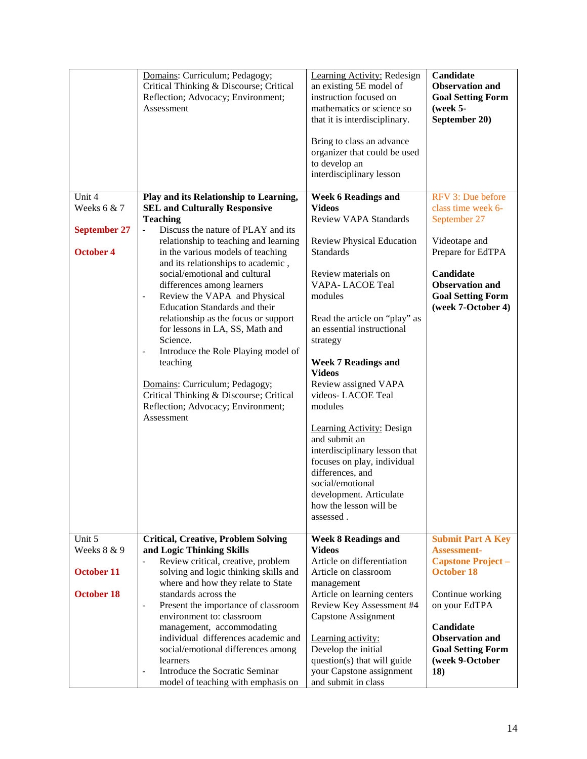|                     | Domains: Curriculum; Pedagogy;<br>Critical Thinking & Discourse; Critical<br>Reflection; Advocacy; Environment;<br>Assessment | Learning Activity: Redesign<br>an existing 5E model of<br>instruction focused on<br>mathematics or science so<br>that it is interdisciplinary.<br>Bring to class an advance<br>organizer that could be used<br>to develop an<br>interdisciplinary lesson | Candidate<br><b>Observation and</b><br><b>Goal Setting Form</b><br>$($ week 5-<br>September 20) |
|---------------------|-------------------------------------------------------------------------------------------------------------------------------|----------------------------------------------------------------------------------------------------------------------------------------------------------------------------------------------------------------------------------------------------------|-------------------------------------------------------------------------------------------------|
| Unit 4              | Play and its Relationship to Learning,                                                                                        | <b>Week 6 Readings and</b>                                                                                                                                                                                                                               | RFV 3: Due before                                                                               |
| Weeks $6 & 7$       | <b>SEL and Culturally Responsive</b><br><b>Teaching</b>                                                                       | <b>Videos</b><br><b>Review VAPA Standards</b>                                                                                                                                                                                                            | class time week 6-<br>September 27                                                              |
| <b>September 27</b> | Discuss the nature of PLAY and its<br>$\blacksquare$                                                                          |                                                                                                                                                                                                                                                          |                                                                                                 |
| <b>October 4</b>    | relationship to teaching and learning                                                                                         | <b>Review Physical Education</b><br><b>Standards</b>                                                                                                                                                                                                     | Videotape and<br>Prepare for EdTPA                                                              |
|                     | in the various models of teaching<br>and its relationships to academic,                                                       |                                                                                                                                                                                                                                                          |                                                                                                 |
|                     | social/emotional and cultural<br>differences among learners                                                                   | Review materials on<br>VAPA-LACOE Teal                                                                                                                                                                                                                   | Candidate<br><b>Observation and</b>                                                             |
|                     | Review the VAPA and Physical<br>$\overline{\phantom{0}}$                                                                      | modules                                                                                                                                                                                                                                                  | <b>Goal Setting Form</b>                                                                        |
|                     | Education Standards and their<br>relationship as the focus or support                                                         | Read the article on "play" as                                                                                                                                                                                                                            | (week 7-October 4)                                                                              |
|                     | for lessons in LA, SS, Math and                                                                                               | an essential instructional                                                                                                                                                                                                                               |                                                                                                 |
|                     | Science.<br>Introduce the Role Playing model of<br>$\overline{\phantom{0}}$                                                   | strategy                                                                                                                                                                                                                                                 |                                                                                                 |
|                     | teaching                                                                                                                      | <b>Week 7 Readings and</b>                                                                                                                                                                                                                               |                                                                                                 |
|                     | Domains: Curriculum; Pedagogy;                                                                                                | <b>Videos</b><br>Review assigned VAPA                                                                                                                                                                                                                    |                                                                                                 |
|                     | Critical Thinking & Discourse; Critical                                                                                       | videos-LACOE Teal                                                                                                                                                                                                                                        |                                                                                                 |
|                     | Reflection; Advocacy; Environment;<br>Assessment                                                                              | modules                                                                                                                                                                                                                                                  |                                                                                                 |
|                     |                                                                                                                               | <b>Learning Activity: Design</b>                                                                                                                                                                                                                         |                                                                                                 |
|                     |                                                                                                                               | and submit an<br>interdisciplinary lesson that                                                                                                                                                                                                           |                                                                                                 |
|                     |                                                                                                                               | focuses on play, individual                                                                                                                                                                                                                              |                                                                                                 |
|                     |                                                                                                                               | differences, and<br>social/emotional                                                                                                                                                                                                                     |                                                                                                 |
|                     |                                                                                                                               | development. Articulate                                                                                                                                                                                                                                  |                                                                                                 |
|                     |                                                                                                                               | how the lesson will be                                                                                                                                                                                                                                   |                                                                                                 |
|                     |                                                                                                                               | assessed.                                                                                                                                                                                                                                                |                                                                                                 |
| Unit 5              | <b>Critical, Creative, Problem Solving</b>                                                                                    | <b>Week 8 Readings and</b>                                                                                                                                                                                                                               | <b>Submit Part A Key</b>                                                                        |
| Weeks 8 & 9         | and Logic Thinking Skills<br>Review critical, creative, problem                                                               | <b>Videos</b><br>Article on differentiation                                                                                                                                                                                                              | <b>Assessment-</b><br><b>Capstone Project -</b>                                                 |
| <b>October 11</b>   | solving and logic thinking skills and                                                                                         | Article on classroom                                                                                                                                                                                                                                     | <b>October 18</b>                                                                               |
| <b>October 18</b>   | where and how they relate to State<br>standards across the                                                                    | management<br>Article on learning centers                                                                                                                                                                                                                | Continue working                                                                                |
|                     | Present the importance of classroom                                                                                           | Review Key Assessment #4                                                                                                                                                                                                                                 | on your EdTPA                                                                                   |
|                     | environment to: classroom<br>management, accommodating                                                                        | <b>Capstone Assignment</b>                                                                                                                                                                                                                               | Candidate                                                                                       |
|                     | individual differences academic and                                                                                           | Learning activity:                                                                                                                                                                                                                                       | <b>Observation and</b>                                                                          |
|                     | social/emotional differences among                                                                                            | Develop the initial                                                                                                                                                                                                                                      | <b>Goal Setting Form</b>                                                                        |
|                     | learners<br>Introduce the Socratic Seminar<br>$\blacksquare$                                                                  | question(s) that will guide<br>your Capstone assignment                                                                                                                                                                                                  | (week 9-October<br>18)                                                                          |
|                     | model of teaching with emphasis on                                                                                            | and submit in class                                                                                                                                                                                                                                      |                                                                                                 |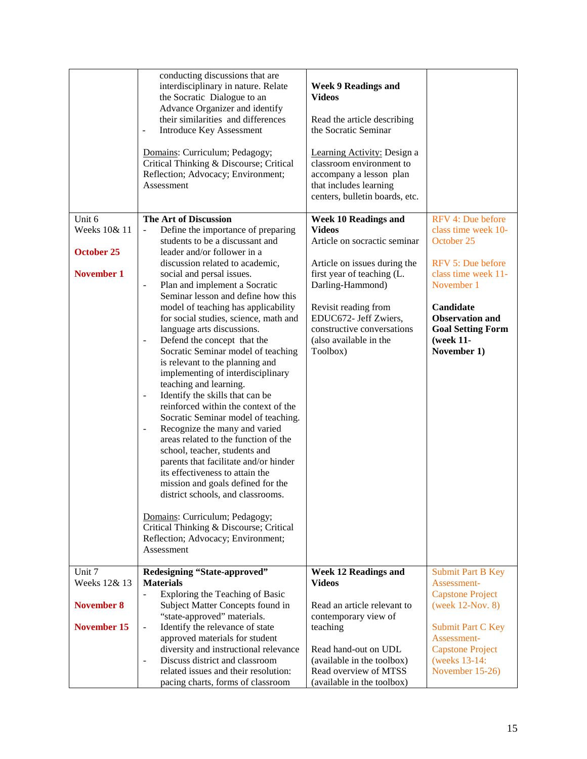|                   | conducting discussions that are<br>interdisciplinary in nature. Relate<br>the Socratic Dialogue to an<br>Advance Organizer and identify<br>their similarities and differences<br><b>Introduce Key Assessment</b><br>$\overline{a}$<br>Domains: Curriculum; Pedagogy;<br>Critical Thinking & Discourse; Critical<br>Reflection; Advocacy; Environment;<br>Assessment                                                                                                                                                                                                                                                                                                                                                                                                                                                                                                                                | <b>Week 9 Readings and</b><br><b>Videos</b><br>Read the article describing<br>the Socratic Seminar<br>Learning Activity: Design a<br>classroom environment to<br>accompany a lesson plan<br>that includes learning<br>centers, bulletin boards, etc. |                                                                                             |
|-------------------|----------------------------------------------------------------------------------------------------------------------------------------------------------------------------------------------------------------------------------------------------------------------------------------------------------------------------------------------------------------------------------------------------------------------------------------------------------------------------------------------------------------------------------------------------------------------------------------------------------------------------------------------------------------------------------------------------------------------------------------------------------------------------------------------------------------------------------------------------------------------------------------------------|------------------------------------------------------------------------------------------------------------------------------------------------------------------------------------------------------------------------------------------------------|---------------------------------------------------------------------------------------------|
| Unit 6            | The Art of Discussion                                                                                                                                                                                                                                                                                                                                                                                                                                                                                                                                                                                                                                                                                                                                                                                                                                                                              | <b>Week 10 Readings and</b>                                                                                                                                                                                                                          | RFV 4: Due before                                                                           |
| Weeks 10& 11      | Define the importance of preparing<br>$\blacksquare$                                                                                                                                                                                                                                                                                                                                                                                                                                                                                                                                                                                                                                                                                                                                                                                                                                               | <b>Videos</b>                                                                                                                                                                                                                                        | class time week 10-                                                                         |
| <b>October 25</b> | students to be a discussant and<br>leader and/or follower in a                                                                                                                                                                                                                                                                                                                                                                                                                                                                                                                                                                                                                                                                                                                                                                                                                                     | Article on socractic seminar                                                                                                                                                                                                                         | October 25                                                                                  |
|                   | discussion related to academic,                                                                                                                                                                                                                                                                                                                                                                                                                                                                                                                                                                                                                                                                                                                                                                                                                                                                    | Article on issues during the                                                                                                                                                                                                                         | RFV 5: Due before                                                                           |
| <b>November 1</b> | social and persal issues.                                                                                                                                                                                                                                                                                                                                                                                                                                                                                                                                                                                                                                                                                                                                                                                                                                                                          | first year of teaching (L.                                                                                                                                                                                                                           | class time week 11-                                                                         |
|                   | Plan and implement a Socratic<br>$\overline{\phantom{a}}$                                                                                                                                                                                                                                                                                                                                                                                                                                                                                                                                                                                                                                                                                                                                                                                                                                          | Darling-Hammond)                                                                                                                                                                                                                                     | November 1                                                                                  |
|                   | Seminar lesson and define how this<br>model of teaching has applicability<br>for social studies, science, math and<br>language arts discussions.<br>Defend the concept that the<br>Socratic Seminar model of teaching<br>is relevant to the planning and<br>implementing of interdisciplinary<br>teaching and learning.<br>Identify the skills that can be<br>$\overline{\phantom{a}}$<br>reinforced within the context of the<br>Socratic Seminar model of teaching.<br>Recognize the many and varied<br>$\overline{\phantom{a}}$<br>areas related to the function of the<br>school, teacher, students and<br>parents that facilitate and/or hinder<br>its effectiveness to attain the<br>mission and goals defined for the<br>district schools, and classrooms.<br>Domains: Curriculum; Pedagogy;<br>Critical Thinking & Discourse; Critical<br>Reflection; Advocacy; Environment;<br>Assessment | Revisit reading from<br>EDUC672- Jeff Zwiers,<br>constructive conversations<br>(also available in the<br>Toolbox)                                                                                                                                    | Candidate<br><b>Observation and</b><br><b>Goal Setting Form</b><br>(week 11-<br>November 1) |
| Unit 7            | Redesigning "State-approved"                                                                                                                                                                                                                                                                                                                                                                                                                                                                                                                                                                                                                                                                                                                                                                                                                                                                       | <b>Week 12 Readings and</b>                                                                                                                                                                                                                          | <b>Submit Part B Key</b>                                                                    |
| Weeks 12& 13      | <b>Materials</b><br>Exploring the Teaching of Basic                                                                                                                                                                                                                                                                                                                                                                                                                                                                                                                                                                                                                                                                                                                                                                                                                                                | <b>Videos</b>                                                                                                                                                                                                                                        | Assessment-<br><b>Capstone Project</b>                                                      |
| November 8        | Subject Matter Concepts found in                                                                                                                                                                                                                                                                                                                                                                                                                                                                                                                                                                                                                                                                                                                                                                                                                                                                   | Read an article relevant to                                                                                                                                                                                                                          | (week 12-Nov. 8)                                                                            |
|                   | "state-approved" materials.                                                                                                                                                                                                                                                                                                                                                                                                                                                                                                                                                                                                                                                                                                                                                                                                                                                                        | contemporary view of                                                                                                                                                                                                                                 |                                                                                             |
| November 15       | Identify the relevance of state<br>$\blacksquare$                                                                                                                                                                                                                                                                                                                                                                                                                                                                                                                                                                                                                                                                                                                                                                                                                                                  | teaching                                                                                                                                                                                                                                             | <b>Submit Part C Key</b><br>Assessment-                                                     |
|                   | approved materials for student<br>diversity and instructional relevance                                                                                                                                                                                                                                                                                                                                                                                                                                                                                                                                                                                                                                                                                                                                                                                                                            | Read hand-out on UDL                                                                                                                                                                                                                                 | <b>Capstone Project</b>                                                                     |
|                   | Discuss district and classroom<br>$\overline{\phantom{a}}$                                                                                                                                                                                                                                                                                                                                                                                                                                                                                                                                                                                                                                                                                                                                                                                                                                         | (available in the toolbox)                                                                                                                                                                                                                           | (weeks 13-14:                                                                               |
|                   | related issues and their resolution:                                                                                                                                                                                                                                                                                                                                                                                                                                                                                                                                                                                                                                                                                                                                                                                                                                                               | Read overview of MTSS                                                                                                                                                                                                                                | November 15-26)                                                                             |
|                   | pacing charts, forms of classroom                                                                                                                                                                                                                                                                                                                                                                                                                                                                                                                                                                                                                                                                                                                                                                                                                                                                  | (available in the toolbox)                                                                                                                                                                                                                           |                                                                                             |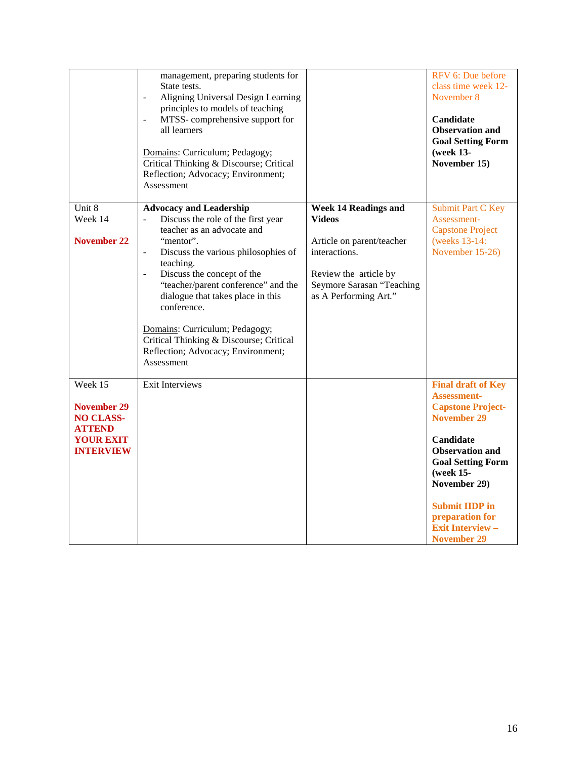|                                                                                                     | management, preparing students for<br>State tests.<br>Aligning Universal Design Learning<br>principles to models of teaching<br>MTSS-comprehensive support for<br>$\blacksquare$<br>all learners<br>Domains: Curriculum; Pedagogy;<br>Critical Thinking & Discourse; Critical<br>Reflection; Advocacy; Environment;<br>Assessment                                                                                                                                 |                                                                                                                                                                    | RFV 6: Due before<br>class time week 12-<br>November 8<br>Candidate<br><b>Observation and</b><br><b>Goal Setting Form</b><br>(week 13-<br>November 15)                                                                                                                                                |
|-----------------------------------------------------------------------------------------------------|-------------------------------------------------------------------------------------------------------------------------------------------------------------------------------------------------------------------------------------------------------------------------------------------------------------------------------------------------------------------------------------------------------------------------------------------------------------------|--------------------------------------------------------------------------------------------------------------------------------------------------------------------|-------------------------------------------------------------------------------------------------------------------------------------------------------------------------------------------------------------------------------------------------------------------------------------------------------|
| Unit 8<br>Week 14<br>November 22                                                                    | <b>Advocacy and Leadership</b><br>Discuss the role of the first year<br>teacher as an advocate and<br>"mentor".<br>Discuss the various philosophies of<br>$\blacksquare$<br>teaching.<br>Discuss the concept of the<br>$\blacksquare$<br>"teacher/parent conference" and the<br>dialogue that takes place in this<br>conference.<br>Domains: Curriculum; Pedagogy;<br>Critical Thinking & Discourse; Critical<br>Reflection; Advocacy; Environment;<br>Assessment | <b>Week 14 Readings and</b><br>Videos<br>Article on parent/teacher<br>interactions.<br>Review the article by<br>Seymore Sarasan "Teaching<br>as A Performing Art." | <b>Submit Part C Key</b><br>Assessment-<br><b>Capstone Project</b><br>(weeks 13-14:<br>November 15-26)                                                                                                                                                                                                |
| Week 15<br>November 29<br><b>NO CLASS-</b><br><b>ATTEND</b><br><b>YOUR EXIT</b><br><b>INTERVIEW</b> | <b>Exit Interviews</b>                                                                                                                                                                                                                                                                                                                                                                                                                                            |                                                                                                                                                                    | <b>Final draft of Key</b><br><b>Assessment-</b><br><b>Capstone Project-</b><br><b>November 29</b><br><b>Candidate</b><br><b>Observation and</b><br><b>Goal Setting Form</b><br>(week 15-<br>November 29)<br><b>Submit IIDP</b> in<br>preparation for<br><b>Exit Interview -</b><br><b>November 29</b> |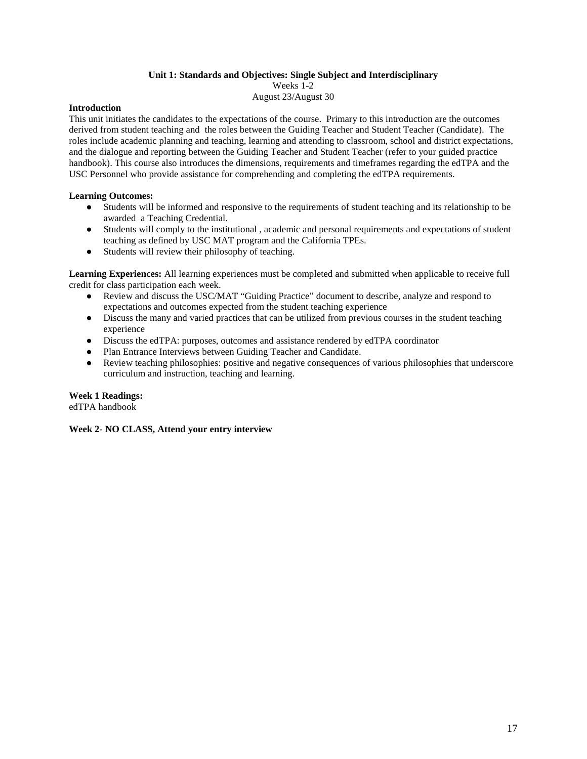# **Unit 1: Standards and Objectives: Single Subject and Interdisciplinary**

Weeks 1-2

August 23/August 30

# **Introduction**

This unit initiates the candidates to the expectations of the course. Primary to this introduction are the outcomes derived from student teaching and the roles between the Guiding Teacher and Student Teacher (Candidate). The roles include academic planning and teaching, learning and attending to classroom, school and district expectations, and the dialogue and reporting between the Guiding Teacher and Student Teacher (refer to your guided practice handbook). This course also introduces the dimensions, requirements and timeframes regarding the edTPA and the USC Personnel who provide assistance for comprehending and completing the edTPA requirements.

# **Learning Outcomes:**

- Students will be informed and responsive to the requirements of student teaching and its relationship to be awarded a Teaching Credential.
- Students will comply to the institutional , academic and personal requirements and expectations of student teaching as defined by USC MAT program and the California TPEs.
- Students will review their philosophy of teaching.

**Learning Experiences:** All learning experiences must be completed and submitted when applicable to receive full credit for class participation each week.

- Review and discuss the USC/MAT "Guiding Practice" document to describe, analyze and respond to expectations and outcomes expected from the student teaching experience
- Discuss the many and varied practices that can be utilized from previous courses in the student teaching experience
- Discuss the edTPA: purposes, outcomes and assistance rendered by edTPA coordinator
- Plan Entrance Interviews between Guiding Teacher and Candidate.
- Review teaching philosophies: positive and negative consequences of various philosophies that underscore curriculum and instruction, teaching and learning.

# **Week 1 Readings:**

edTPA handbook

**Week 2- NO CLASS, Attend your entry interview**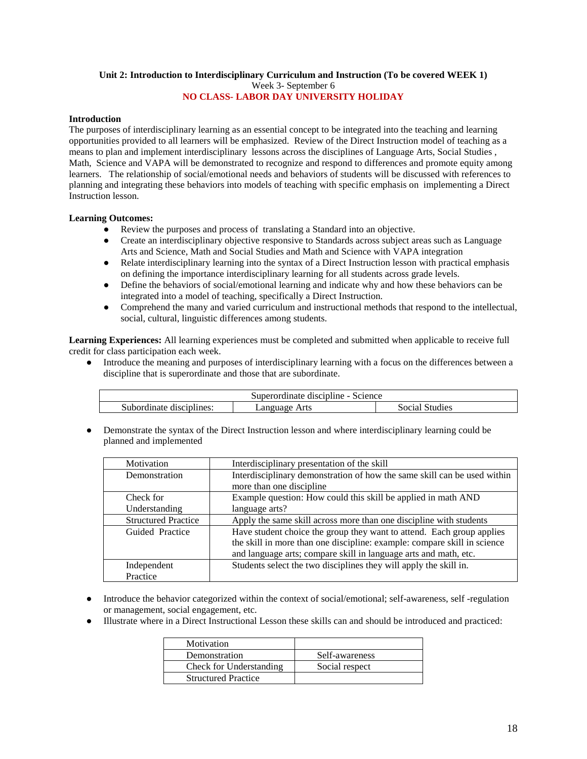#### **Unit 2: Introduction to Interdisciplinary Curriculum and Instruction (To be covered WEEK 1)** Week 3- September 6

# **NO CLASS- LABOR DAY UNIVERSITY HOLIDAY**

# **Introduction**

The purposes of interdisciplinary learning as an essential concept to be integrated into the teaching and learning opportunities provided to all learners will be emphasized. Review of the Direct Instruction model of teaching as a means to plan and implement interdisciplinary lessons across the disciplines of Language Arts, Social Studies , Math, Science and VAPA will be demonstrated to recognize and respond to differences and promote equity among learners. The relationship of social/emotional needs and behaviors of students will be discussed with references to planning and integrating these behaviors into models of teaching with specific emphasis on implementing a Direct Instruction lesson.

# **Learning Outcomes:**

- Review the purposes and process of translating a Standard into an objective.
- Create an interdisciplinary objective responsive to Standards across subject areas such as Language Arts and Science, Math and Social Studies and Math and Science with VAPA integration
- Relate interdisciplinary learning into the syntax of a Direct Instruction lesson with practical emphasis on defining the importance interdisciplinary learning for all students across grade levels.
- Define the behaviors of social/emotional learning and indicate why and how these behaviors can be integrated into a model of teaching, specifically a Direct Instruction.
- Comprehend the many and varied curriculum and instructional methods that respond to the intellectual, social, cultural, linguistic differences among students.

**Learning Experiences:** All learning experiences must be completed and submitted when applicable to receive full credit for class participation each week.

Introduce the meaning and purposes of interdisciplinary learning with a focus on the differences between a discipline that is superordinate and those that are subordinate.

| Superordinate discipline - Science |                           |                |
|------------------------------------|---------------------------|----------------|
| Subordinate disciplines:           | Arts<br>Language <i>i</i> | Social Studies |

Demonstrate the syntax of the Direct Instruction lesson and where interdisciplinary learning could be planned and implemented

| Motivation                 | Interdisciplinary presentation of the skill                              |
|----------------------------|--------------------------------------------------------------------------|
| Demonstration              | Interdisciplinary demonstration of how the same skill can be used within |
|                            | more than one discipline                                                 |
| Check for                  | Example question: How could this skill be applied in math AND            |
| Understanding              | language arts?                                                           |
| <b>Structured Practice</b> | Apply the same skill across more than one discipline with students       |
| Guided Practice            | Have student choice the group they want to attend. Each group applies    |
|                            | the skill in more than one discipline: example: compare skill in science |
|                            | and language arts; compare skill in language arts and math, etc.         |
| Independent                | Students select the two disciplines they will apply the skill in.        |
| Practice                   |                                                                          |

- Introduce the behavior categorized within the context of social/emotional; self-awareness, self-regulation or management, social engagement, etc.
- Illustrate where in a Direct Instructional Lesson these skills can and should be introduced and practiced:

| Motivation                 |                |
|----------------------------|----------------|
| Demonstration              | Self-awareness |
| Check for Understanding    | Social respect |
| <b>Structured Practice</b> |                |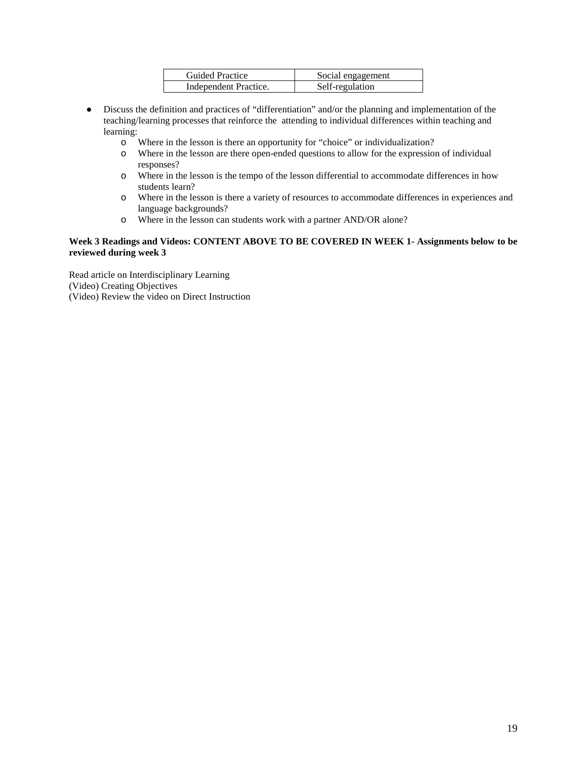| <b>Guided Practice</b> | Social engagement |
|------------------------|-------------------|
| Independent Practice.  | Self-regulation   |

- Discuss the definition and practices of "differentiation" and/or the planning and implementation of the teaching/learning processes that reinforce the attending to individual differences within teaching and learning:
	- o Where in the lesson is there an opportunity for "choice" or individualization?
	- o Where in the lesson are there open-ended questions to allow for the expression of individual responses?
	- o Where in the lesson is the tempo of the lesson differential to accommodate differences in how students learn?
	- o Where in the lesson is there a variety of resources to accommodate differences in experiences and language backgrounds?
	- o Where in the lesson can students work with a partner AND/OR alone?

# **Week 3 Readings and Videos: CONTENT ABOVE TO BE COVERED IN WEEK 1- Assignments below to be reviewed during week 3**

Read article on Interdisciplinary Learning (Video) Creating Objectives (Video) Review the video on Direct Instruction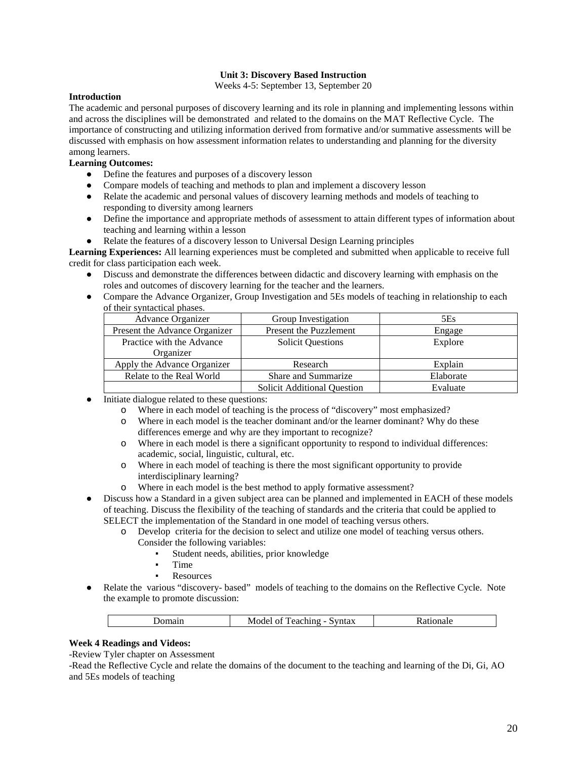# **Unit 3: Discovery Based Instruction**

Weeks 4-5: September 13, September 20

# **Introduction**

The academic and personal purposes of discovery learning and its role in planning and implementing lessons within and across the disciplines will be demonstrated and related to the domains on the MAT Reflective Cycle. The importance of constructing and utilizing information derived from formative and/or summative assessments will be discussed with emphasis on how assessment information relates to understanding and planning for the diversity among learners.

# **Learning Outcomes:**

- Define the features and purposes of a discovery lesson
- Compare models of teaching and methods to plan and implement a discovery lesson
- Relate the academic and personal values of discovery learning methods and models of teaching to responding to diversity among learners
- Define the importance and appropriate methods of assessment to attain different types of information about teaching and learning within a lesson
- Relate the features of a discovery lesson to Universal Design Learning principles

**Learning Experiences:** All learning experiences must be completed and submitted when applicable to receive full credit for class participation each week.

- Discuss and demonstrate the differences between didactic and discovery learning with emphasis on the roles and outcomes of discovery learning for the teacher and the learners.
- Compare the Advance Organizer, Group Investigation and 5Es models of teaching in relationship to each of their syntactical phases.

| Advance Organizer             | Group Investigation                | 5Es       |
|-------------------------------|------------------------------------|-----------|
| Present the Advance Organizer | <b>Present the Puzzlement</b>      | Engage    |
| Practice with the Advance     | <b>Solicit Questions</b>           | Explore   |
| Organizer                     |                                    |           |
| Apply the Advance Organizer   | Research                           | Explain   |
| Relate to the Real World      | Share and Summarize                | Elaborate |
|                               | <b>Solicit Additional Question</b> | Evaluate  |

- Initiate dialogue related to these questions:
	- o Where in each model of teaching is the process of "discovery" most emphasized?
	- o Where in each model is the teacher dominant and/or the learner dominant? Why do these differences emerge and why are they important to recognize?
	- o Where in each model is there a significant opportunity to respond to individual differences: academic, social, linguistic, cultural, etc.
	- o Where in each model of teaching is there the most significant opportunity to provide interdisciplinary learning?
	- o Where in each model is the best method to apply formative assessment?
- Discuss how a Standard in a given subject area can be planned and implemented in EACH of these models of teaching. Discuss the flexibility of the teaching of standards and the criteria that could be applied to SELECT the implementation of the Standard in one model of teaching versus others.
	- o Develop criteria for the decision to select and utilize one model of teaching versus others. Consider the following variables:
		- Student needs, abilities, prior knowledge
			- Time
		- **Resources**
- Relate the various "discovery- based" models of teaching to the domains on the Reflective Cycle. Note the example to promote discussion:

| ----<br>----<br>M<br>ел<br>$\cdots$<br>. |
|------------------------------------------|
|------------------------------------------|

# **Week 4 Readings and Videos:**

-Review Tyler chapter on Assessment

-Read the Reflective Cycle and relate the domains of the document to the teaching and learning of the Di, Gi, AO and 5Es models of teaching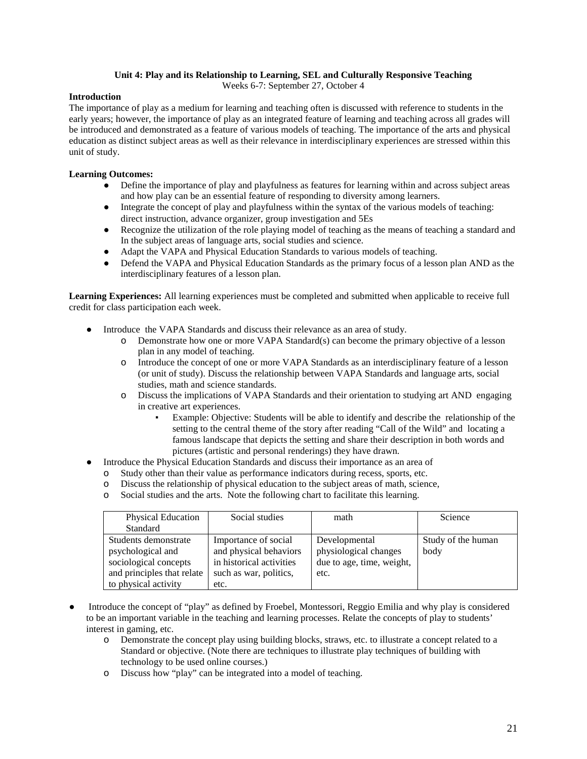# **Unit 4: Play and its Relationship to Learning, SEL and Culturally Responsive Teaching**

Weeks 6-7: September 27, October 4

# **Introduction**

The importance of play as a medium for learning and teaching often is discussed with reference to students in the early years; however, the importance of play as an integrated feature of learning and teaching across all grades will be introduced and demonstrated as a feature of various models of teaching. The importance of the arts and physical education as distinct subject areas as well as their relevance in interdisciplinary experiences are stressed within this unit of study.

# **Learning Outcomes:**

- Define the importance of play and playfulness as features for learning within and across subject areas and how play can be an essential feature of responding to diversity among learners.
- Integrate the concept of play and playfulness within the syntax of the various models of teaching: direct instruction, advance organizer, group investigation and 5Es
- Recognize the utilization of the role playing model of teaching as the means of teaching a standard and In the subject areas of language arts, social studies and science.
- Adapt the VAPA and Physical Education Standards to various models of teaching.
- Defend the VAPA and Physical Education Standards as the primary focus of a lesson plan AND as the interdisciplinary features of a lesson plan.

**Learning Experiences:** All learning experiences must be completed and submitted when applicable to receive full credit for class participation each week.

- Introduce the VAPA Standards and discuss their relevance as an area of study.
	- o Demonstrate how one or more VAPA Standard(s) can become the primary objective of a lesson plan in any model of teaching.
	- o Introduce the concept of one or more VAPA Standards as an interdisciplinary feature of a lesson (or unit of study). Discuss the relationship between VAPA Standards and language arts, social studies, math and science standards.
	- o Discuss the implications of VAPA Standards and their orientation to studying art AND engaging in creative art experiences.
		- Example: Objective: Students will be able to identify and describe the relationship of the setting to the central theme of the story after reading "Call of the Wild" and locating a famous landscape that depicts the setting and share their description in both words and pictures (artistic and personal renderings) they have drawn.
- Introduce the Physical Education Standards and discuss their importance as an area of
	- o Study other than their value as performance indicators during recess, sports, etc.
	- o Discuss the relationship of physical education to the subject areas of math, science,
	- o Social studies and the arts. Note the following chart to facilitate this learning.

| <b>Physical Education</b>  | Social studies           | math                      | Science            |
|----------------------------|--------------------------|---------------------------|--------------------|
| Standard                   |                          |                           |                    |
| Students demonstrate       | Importance of social     | Developmental             | Study of the human |
| psychological and          | and physical behaviors   | physiological changes     | body               |
| sociological concepts      | in historical activities | due to age, time, weight, |                    |
| and principles that relate | such as war, politics,   | etc.                      |                    |
| to physical activity       | etc.                     |                           |                    |

- Introduce the concept of "play" as defined by Froebel, Montessori, Reggio Emilia and why play is considered to be an important variable in the teaching and learning processes. Relate the concepts of play to students' interest in gaming, etc.
	- o Demonstrate the concept play using building blocks, straws, etc. to illustrate a concept related to a Standard or objective. (Note there are techniques to illustrate play techniques of building with technology to be used online courses.)
	- o Discuss how "play" can be integrated into a model of teaching.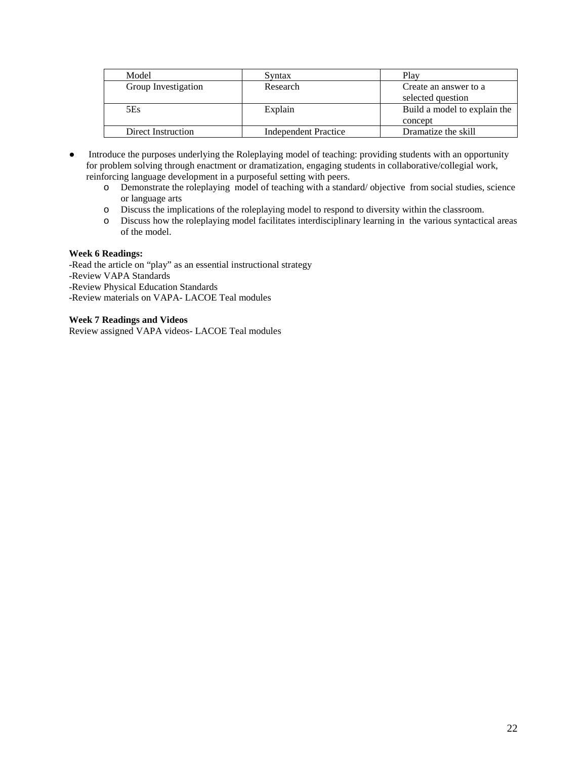| Model               | Syntax                      | Plav                         |
|---------------------|-----------------------------|------------------------------|
| Group Investigation | Research                    | Create an answer to a        |
|                     |                             | selected question            |
| 5Es                 | Explain                     | Build a model to explain the |
|                     |                             | concept                      |
| Direct Instruction  | <b>Independent Practice</b> | Dramatize the skill          |

- Introduce the purposes underlying the Roleplaying model of teaching: providing students with an opportunity for problem solving through enactment or dramatization, engaging students in collaborative/collegial work, reinforcing language development in a purposeful setting with peers.
	- o Demonstrate the roleplaying model of teaching with a standard/ objective from social studies, science or language arts
	- o Discuss the implications of the roleplaying model to respond to diversity within the classroom.
	- o Discuss how the roleplaying model facilitates interdisciplinary learning in the various syntactical areas of the model.

# **Week 6 Readings:**

-Read the article on "play" as an essential instructional strategy

- -Review VAPA Standards
- -Review Physical Education Standards
- -Review materials on VAPA- LACOE Teal modules

# **Week 7 Readings and Videos**

Review assigned VAPA videos- LACOE Teal modules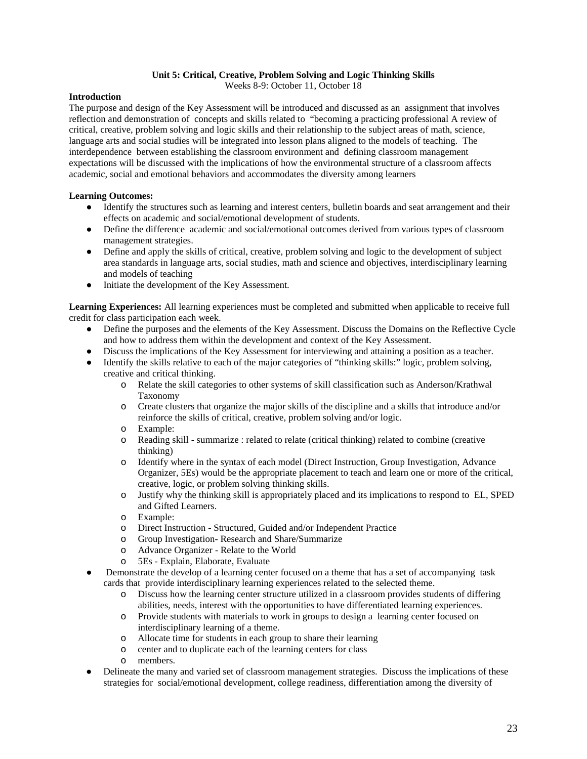# **Unit 5: Critical, Creative, Problem Solving and Logic Thinking Skills**

Weeks 8-9: October 11, October 18

# **Introduction**

The purpose and design of the Key Assessment will be introduced and discussed as an assignment that involves reflection and demonstration of concepts and skills related to "becoming a practicing professional A review of critical, creative, problem solving and logic skills and their relationship to the subject areas of math, science, language arts and social studies will be integrated into lesson plans aligned to the models of teaching. The interdependence between establishing the classroom environment and defining classroom management expectations will be discussed with the implications of how the environmental structure of a classroom affects academic, social and emotional behaviors and accommodates the diversity among learners

# **Learning Outcomes:**

- Identify the structures such as learning and interest centers, bulletin boards and seat arrangement and their effects on academic and social/emotional development of students.
- Define the difference academic and social/emotional outcomes derived from various types of classroom management strategies.
- Define and apply the skills of critical, creative, problem solving and logic to the development of subject area standards in language arts, social studies, math and science and objectives, interdisciplinary learning and models of teaching
- Initiate the development of the Key Assessment.

**Learning Experiences:** All learning experiences must be completed and submitted when applicable to receive full credit for class participation each week.

- Define the purposes and the elements of the Key Assessment. Discuss the Domains on the Reflective Cycle and how to address them within the development and context of the Key Assessment.
- Discuss the implications of the Key Assessment for interviewing and attaining a position as a teacher.
- Identify the skills relative to each of the major categories of "thinking skills:" logic, problem solving, creative and critical thinking.
	- o Relate the skill categories to other systems of skill classification such as Anderson/Krathwal Taxonomy
	- o Create clusters that organize the major skills of the discipline and a skills that introduce and/or reinforce the skills of critical, creative, problem solving and/or logic.
	- o Example:
	- Reading skill summarize : related to relate (critical thinking) related to combine (creative thinking)
	- o Identify where in the syntax of each model (Direct Instruction, Group Investigation, Advance Organizer, 5Es) would be the appropriate placement to teach and learn one or more of the critical, creative, logic, or problem solving thinking skills.
	- o Justify why the thinking skill is appropriately placed and its implications to respond to EL, SPED and Gifted Learners.
	- o Example:
	- o Direct Instruction Structured, Guided and/or Independent Practice
	- Group Investigation- Research and Share/Summarize
	- o Advance Organizer Relate to the World
	- o 5Es Explain, Elaborate, Evaluate
- Demonstrate the develop of a learning center focused on a theme that has a set of accompanying task cards that provide interdisciplinary learning experiences related to the selected theme.
	- o Discuss how the learning center structure utilized in a classroom provides students of differing abilities, needs, interest with the opportunities to have differentiated learning experiences.
	- o Provide students with materials to work in groups to design a learning center focused on interdisciplinary learning of a theme.
	- o Allocate time for students in each group to share their learning
	- o center and to duplicate each of the learning centers for class
	- members.
- Delineate the many and varied set of classroom management strategies. Discuss the implications of these strategies for social/emotional development, college readiness, differentiation among the diversity of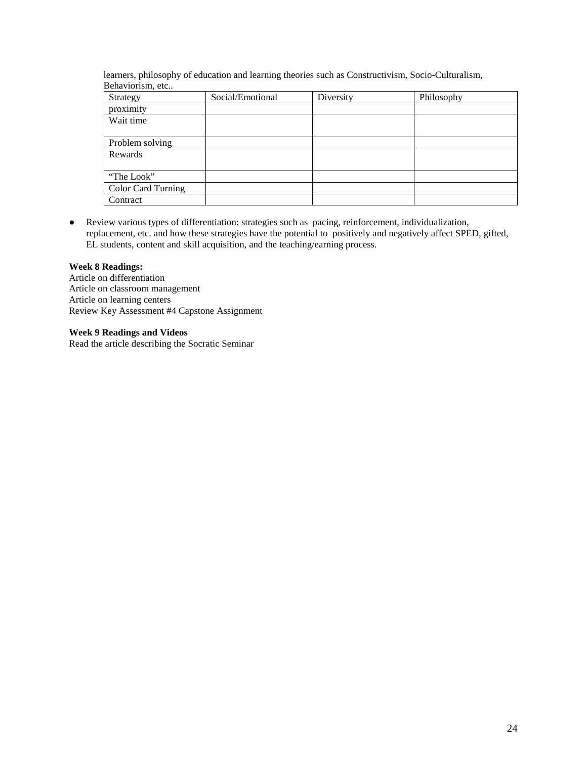learners, philosophy of education and learning theories such as Constructivism, Socio-Culturalism, Behaviorism, etc..

| Strategy                  | Social/Emotional | Diversity | Philosophy |
|---------------------------|------------------|-----------|------------|
| proximity                 |                  |           |            |
| Wait time                 |                  |           |            |
|                           |                  |           |            |
| Problem solving           |                  |           |            |
| Rewards                   |                  |           |            |
|                           |                  |           |            |
| "The Look"                |                  |           |            |
| <b>Color Card Turning</b> |                  |           |            |
| Contract                  |                  |           |            |

● Review various types of differentiation: strategies such as pacing, reinforcement, individualization, replacement, etc. and how these strategies have the potential to positively and negatively affect SPED, gifted, EL students, content and skill acquisition, and the teaching/earning process.

# **Week 8 Readings:**

Article on differentiation Article on classroom management Article on learning centers Review Key Assessment #4 Capstone Assignment

# **Week 9 Readings and Videos**

Read the article describing the Socratic Seminar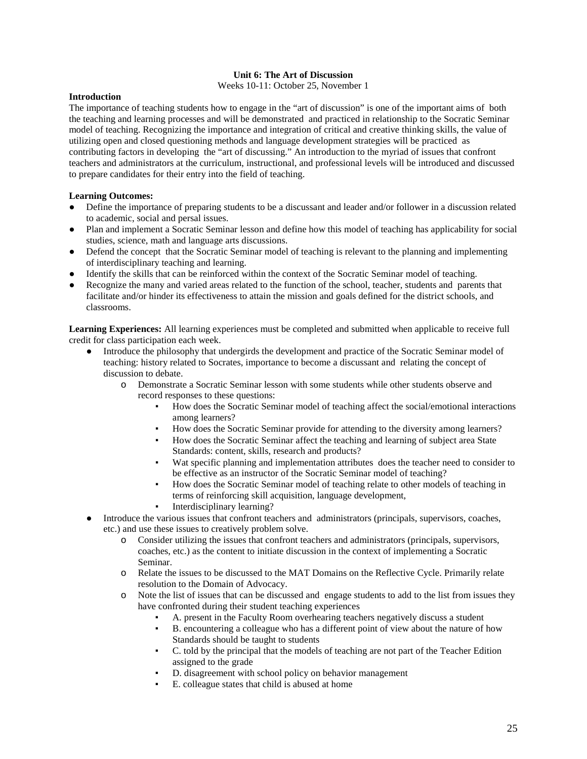# **Unit 6: The Art of Discussion**

Weeks 10-11: October 25, November 1

# **Introduction**

The importance of teaching students how to engage in the "art of discussion" is one of the important aims of both the teaching and learning processes and will be demonstrated and practiced in relationship to the Socratic Seminar model of teaching. Recognizing the importance and integration of critical and creative thinking skills, the value of utilizing open and closed questioning methods and language development strategies will be practiced as contributing factors in developing the "art of discussing." An introduction to the myriad of issues that confront teachers and administrators at the curriculum, instructional, and professional levels will be introduced and discussed to prepare candidates for their entry into the field of teaching.

# **Learning Outcomes:**

- Define the importance of preparing students to be a discussant and leader and/or follower in a discussion related to academic, social and persal issues.
- Plan and implement a Socratic Seminar lesson and define how this model of teaching has applicability for social studies, science, math and language arts discussions.
- Defend the concept that the Socratic Seminar model of teaching is relevant to the planning and implementing of interdisciplinary teaching and learning.
- Identify the skills that can be reinforced within the context of the Socratic Seminar model of teaching.
- Recognize the many and varied areas related to the function of the school, teacher, students and parents that facilitate and/or hinder its effectiveness to attain the mission and goals defined for the district schools, and classrooms.

**Learning Experiences:** All learning experiences must be completed and submitted when applicable to receive full credit for class participation each week.

- Introduce the philosophy that undergirds the development and practice of the Socratic Seminar model of teaching: history related to Socrates, importance to become a discussant and relating the concept of discussion to debate.
	- o Demonstrate a Socratic Seminar lesson with some students while other students observe and record responses to these questions:
		- How does the Socratic Seminar model of teaching affect the social/emotional interactions among learners?
		- How does the Socratic Seminar provide for attending to the diversity among learners?
		- How does the Socratic Seminar affect the teaching and learning of subject area State Standards: content, skills, research and products?
		- Wat specific planning and implementation attributes does the teacher need to consider to be effective as an instructor of the Socratic Seminar model of teaching?
		- How does the Socratic Seminar model of teaching relate to other models of teaching in terms of reinforcing skill acquisition, language development,
		- Interdisciplinary learning?
- Introduce the various issues that confront teachers and administrators (principals, supervisors, coaches, etc.) and use these issues to creatively problem solve.
	- o Consider utilizing the issues that confront teachers and administrators (principals, supervisors, coaches, etc.) as the content to initiate discussion in the context of implementing a Socratic Seminar.
	- o Relate the issues to be discussed to the MAT Domains on the Reflective Cycle. Primarily relate resolution to the Domain of Advocacy.
	- o Note the list of issues that can be discussed and engage students to add to the list from issues they have confronted during their student teaching experiences
		- A. present in the Faculty Room overhearing teachers negatively discuss a student
		- B. encountering a colleague who has a different point of view about the nature of how Standards should be taught to students
		- C. told by the principal that the models of teaching are not part of the Teacher Edition assigned to the grade
		- D. disagreement with school policy on behavior management
		- E. colleague states that child is abused at home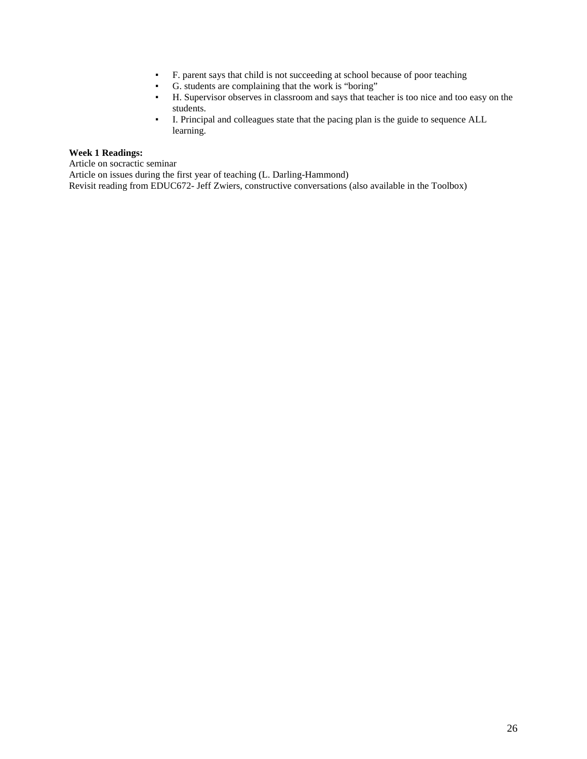- F. parent says that child is not succeeding at school because of poor teaching
- G. students are complaining that the work is "boring"
- H. Supervisor observes in classroom and says that teacher is too nice and too easy on the students.
- I. Principal and colleagues state that the pacing plan is the guide to sequence ALL learning.

# **Week 1 Readings:**

Article on socractic seminar

Article on issues during the first year of teaching (L. Darling-Hammond) Revisit reading from EDUC672- Jeff Zwiers, constructive conversations (also available in the Toolbox)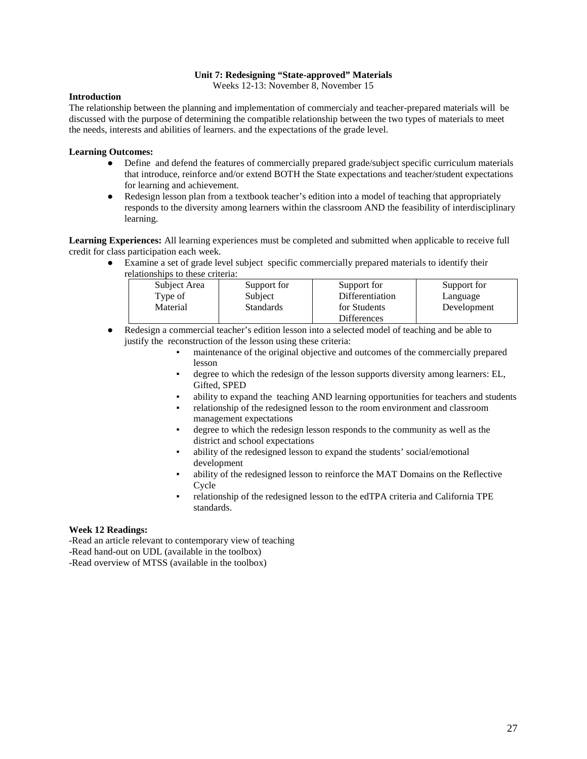# **Unit 7: Redesigning "State-approved" Materials**

Weeks 12-13: November 8, November 15

# **Introduction**

The relationship between the planning and implementation of commercialy and teacher-prepared materials will be discussed with the purpose of determining the compatible relationship between the two types of materials to meet the needs, interests and abilities of learners. and the expectations of the grade level.

# **Learning Outcomes:**

- Define and defend the features of commercially prepared grade/subject specific curriculum materials that introduce, reinforce and/or extend BOTH the State expectations and teacher/student expectations for learning and achievement.
- Redesign lesson plan from a textbook teacher's edition into a model of teaching that appropriately responds to the diversity among learners within the classroom AND the feasibility of interdisciplinary learning.

**Learning Experiences:** All learning experiences must be completed and submitted when applicable to receive full credit for class participation each week.

Examine a set of grade level subject specific commercially prepared materials to identify their relationships to these criteria:

| Subject Area | Support for      | Support for        | Support for |
|--------------|------------------|--------------------|-------------|
| Type of      | Subject          | Differentiation    | Language    |
| Material     | <b>Standards</b> | for Students       | Development |
|              |                  | <b>Differences</b> |             |

- Redesign a commercial teacher's edition lesson into a selected model of teaching and be able to justify the reconstruction of the lesson using these criteria:
	- maintenance of the original objective and outcomes of the commercially prepared lesson
	- degree to which the redesign of the lesson supports diversity among learners: EL, Gifted, SPED
	- ability to expand the teaching AND learning opportunities for teachers and students
	- relationship of the redesigned lesson to the room environment and classroom management expectations
	- degree to which the redesign lesson responds to the community as well as the district and school expectations
	- ability of the redesigned lesson to expand the students' social/emotional development
	- ability of the redesigned lesson to reinforce the MAT Domains on the Reflective Cycle
	- relationship of the redesigned lesson to the edTPA criteria and California TPE standards.

# **Week 12 Readings:**

-Read an article relevant to contemporary view of teaching

-Read hand-out on UDL (available in the toolbox)

-Read overview of MTSS (available in the toolbox)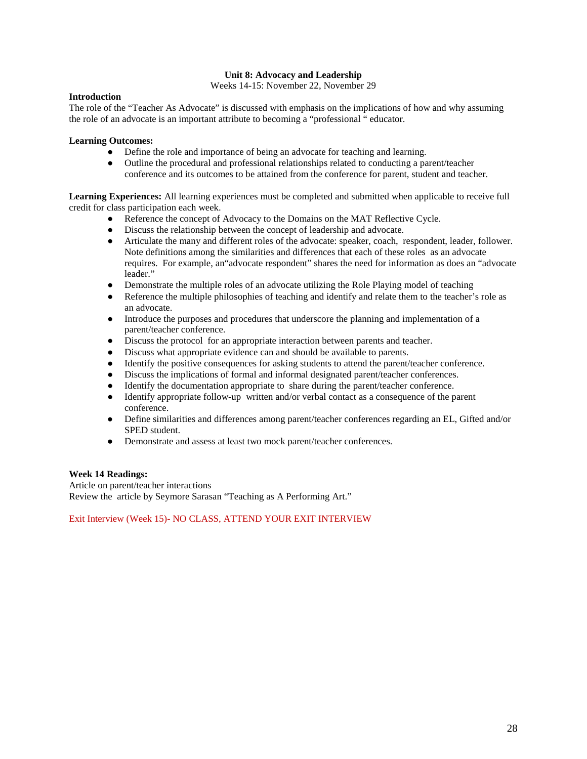# **Unit 8: Advocacy and Leadership**

Weeks 14-15: November 22, November 29

# **Introduction**

The role of the "Teacher As Advocate" is discussed with emphasis on the implications of how and why assuming the role of an advocate is an important attribute to becoming a "professional " educator.

### **Learning Outcomes:**

- Define the role and importance of being an advocate for teaching and learning.
- Outline the procedural and professional relationships related to conducting a parent/teacher conference and its outcomes to be attained from the conference for parent, student and teacher.

**Learning Experiences:** All learning experiences must be completed and submitted when applicable to receive full credit for class participation each week.

- Reference the concept of Advocacy to the Domains on the MAT Reflective Cycle.
- Discuss the relationship between the concept of leadership and advocate.
- Articulate the many and different roles of the advocate: speaker, coach, respondent, leader, follower. Note definitions among the similarities and differences that each of these roles as an advocate requires. For example, an"advocate respondent" shares the need for information as does an "advocate leader."
- Demonstrate the multiple roles of an advocate utilizing the Role Playing model of teaching
- Reference the multiple philosophies of teaching and identify and relate them to the teacher's role as an advocate.
- Introduce the purposes and procedures that underscore the planning and implementation of a parent/teacher conference.
- Discuss the protocol for an appropriate interaction between parents and teacher.
- Discuss what appropriate evidence can and should be available to parents.
- Identify the positive consequences for asking students to attend the parent/teacher conference.
- Discuss the implications of formal and informal designated parent/teacher conferences.
- Identify the documentation appropriate to share during the parent/teacher conference.
- Identify appropriate follow-up written and/or verbal contact as a consequence of the parent conference.
- Define similarities and differences among parent/teacher conferences regarding an EL, Gifted and/or SPED student.
- Demonstrate and assess at least two mock parent/teacher conferences.

# **Week 14 Readings:**

Article on parent/teacher interactions Review the article by Seymore Sarasan "Teaching as A Performing Art."

Exit Interview (Week 15)- NO CLASS, ATTEND YOUR EXIT INTERVIEW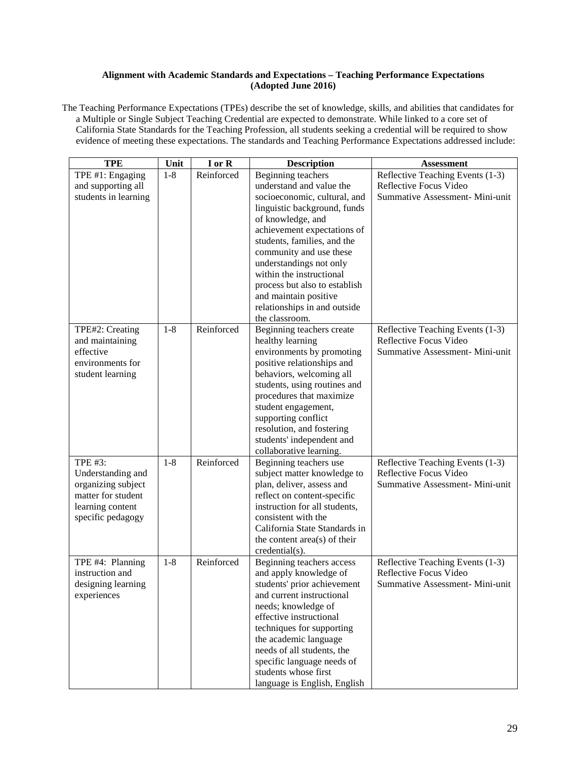# **Alignment with Academic Standards and Expectations – Teaching Performance Expectations (Adopted June 2016)**

The Teaching Performance Expectations (TPEs) describe the set of knowledge, skills, and abilities that candidates for a Multiple or Single Subject Teaching Credential are expected to demonstrate. While linked to a core set of California State Standards for the Teaching Profession, all students seeking a credential will be required to show evidence of meeting these expectations. The standards and Teaching Performance Expectations addressed include:

| <b>TPE</b>                         | Unit    | I or R     | <b>Description</b>                                       | <b>Assessment</b>                                          |
|------------------------------------|---------|------------|----------------------------------------------------------|------------------------------------------------------------|
| TPE #1: Engaging                   | $1 - 8$ | Reinforced | Beginning teachers                                       | Reflective Teaching Events (1-3)                           |
| and supporting all                 |         |            | understand and value the                                 | Reflective Focus Video                                     |
| students in learning               |         |            | socioeconomic, cultural, and                             | Summative Assessment- Mini-unit                            |
|                                    |         |            | linguistic background, funds                             |                                                            |
|                                    |         |            | of knowledge, and                                        |                                                            |
|                                    |         |            | achievement expectations of                              |                                                            |
|                                    |         |            | students, families, and the                              |                                                            |
|                                    |         |            | community and use these                                  |                                                            |
|                                    |         |            | understandings not only                                  |                                                            |
|                                    |         |            | within the instructional                                 |                                                            |
|                                    |         |            | process but also to establish                            |                                                            |
|                                    |         |            | and maintain positive                                    |                                                            |
|                                    |         |            | relationships in and outside                             |                                                            |
|                                    | $1-8$   | Reinforced | the classroom.                                           |                                                            |
| TPE#2: Creating<br>and maintaining |         |            | Beginning teachers create<br>healthy learning            | Reflective Teaching Events (1-3)<br>Reflective Focus Video |
| effective                          |         |            | environments by promoting                                | Summative Assessment- Mini-unit                            |
| environments for                   |         |            | positive relationships and                               |                                                            |
| student learning                   |         |            | behaviors, welcoming all                                 |                                                            |
|                                    |         |            | students, using routines and                             |                                                            |
|                                    |         |            | procedures that maximize                                 |                                                            |
|                                    |         |            | student engagement,                                      |                                                            |
|                                    |         |            | supporting conflict                                      |                                                            |
|                                    |         |            | resolution, and fostering                                |                                                            |
|                                    |         |            | students' independent and                                |                                                            |
|                                    |         |            | collaborative learning.                                  |                                                            |
| <b>TPE #3:</b>                     | $1 - 8$ | Reinforced | Beginning teachers use                                   | Reflective Teaching Events (1-3)                           |
| Understanding and                  |         |            | subject matter knowledge to                              | Reflective Focus Video                                     |
| organizing subject                 |         |            | plan, deliver, assess and                                | Summative Assessment- Mini-unit                            |
| matter for student                 |         |            | reflect on content-specific                              |                                                            |
| learning content                   |         |            | instruction for all students,                            |                                                            |
| specific pedagogy                  |         |            | consistent with the                                      |                                                            |
|                                    |         |            | California State Standards in                            |                                                            |
|                                    |         |            | the content area(s) of their                             |                                                            |
|                                    |         |            | credential(s).                                           |                                                            |
| TPE #4: Planning                   | $1 - 8$ | Reinforced | Beginning teachers access                                | Reflective Teaching Events (1-3)                           |
| instruction and                    |         |            | and apply knowledge of                                   | Reflective Focus Video                                     |
| designing learning<br>experiences  |         |            | students' prior achievement<br>and current instructional | Summative Assessment- Mini-unit                            |
|                                    |         |            | needs; knowledge of                                      |                                                            |
|                                    |         |            | effective instructional                                  |                                                            |
|                                    |         |            | techniques for supporting                                |                                                            |
|                                    |         |            | the academic language                                    |                                                            |
|                                    |         |            | needs of all students, the                               |                                                            |
|                                    |         |            | specific language needs of                               |                                                            |
|                                    |         |            | students whose first                                     |                                                            |
|                                    |         |            | language is English, English                             |                                                            |